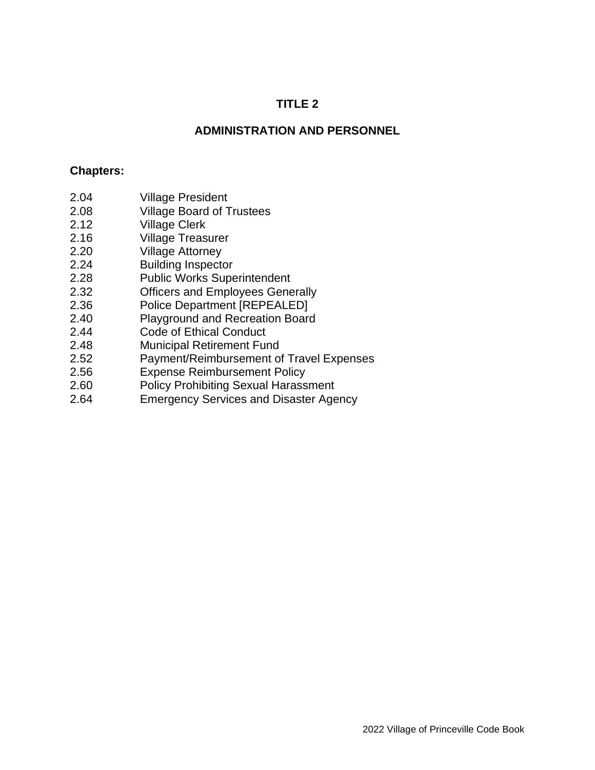## **TITLE 2**

### **ADMINISTRATION AND PERSONNEL**

#### **Chapters:**

- 2.04 Village President
- 2.08 Village Board of Trustees
- 2.12 Village Clerk
- 2.16 Village Treasurer
- 2.20 Village Attorney
- 2.24 Building Inspector
- 2.28 Public Works Superintendent
- 2.32 Officers and Employees Generally
- 2.36 Police Department [REPEALED]
- 2.40 Playground and Recreation Board
- 2.44 Code of Ethical Conduct
- 2.48 Municipal Retirement Fund
- 2.52 Payment/Reimbursement of Travel Expenses
- 2.56 Expense Reimbursement Policy
- 2.60 Policy Prohibiting Sexual Harassment
- 2.64 Emergency Services and Disaster Agency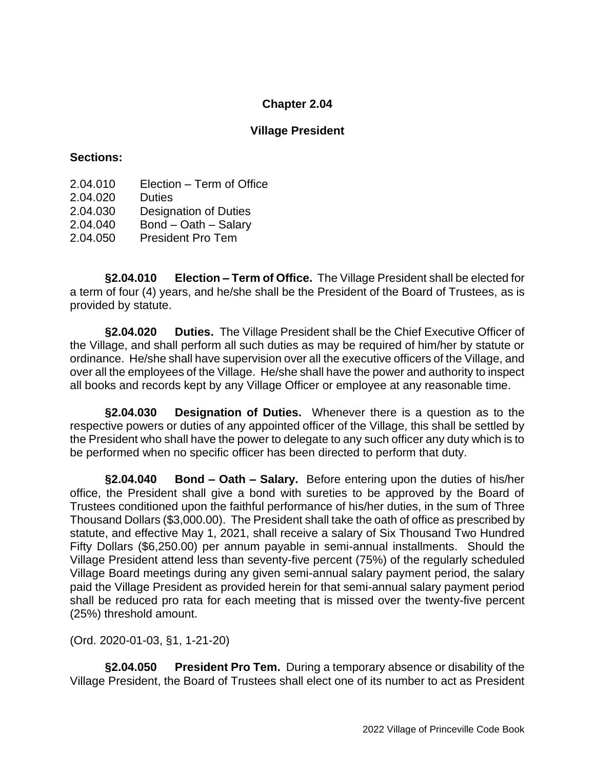### **Village President**

#### **Sections:**

- 2.04.010 Election Term of Office
- 2.04.020 Duties
- 2.04.030 Designation of Duties
- 2.04.040 Bond Oath Salary
- 2.04.050 President Pro Tem

**§2.04.010 Election – Term of Office.** The Village President shall be elected for a term of four (4) years, and he/she shall be the President of the Board of Trustees, as is provided by statute.

**§2.04.020 Duties.** The Village President shall be the Chief Executive Officer of the Village, and shall perform all such duties as may be required of him/her by statute or ordinance. He/she shall have supervision over all the executive officers of the Village, and over all the employees of the Village. He/she shall have the power and authority to inspect all books and records kept by any Village Officer or employee at any reasonable time.

**§2.04.030 Designation of Duties.** Whenever there is a question as to the respective powers or duties of any appointed officer of the Village, this shall be settled by the President who shall have the power to delegate to any such officer any duty which is to be performed when no specific officer has been directed to perform that duty.

**§2.04.040 Bond – Oath – Salary.** Before entering upon the duties of his/her office, the President shall give a bond with sureties to be approved by the Board of Trustees conditioned upon the faithful performance of his/her duties, in the sum of Three Thousand Dollars (\$3,000.00). The President shall take the oath of office as prescribed by statute, and effective May 1, 2021, shall receive a salary of Six Thousand Two Hundred Fifty Dollars (\$6,250.00) per annum payable in semi-annual installments. Should the Village President attend less than seventy-five percent (75%) of the regularly scheduled Village Board meetings during any given semi-annual salary payment period, the salary paid the Village President as provided herein for that semi-annual salary payment period shall be reduced pro rata for each meeting that is missed over the twenty-five percent (25%) threshold amount.

(Ord. 2020-01-03, §1, 1-21-20)

**§2.04.050 President Pro Tem.** During a temporary absence or disability of the Village President, the Board of Trustees shall elect one of its number to act as President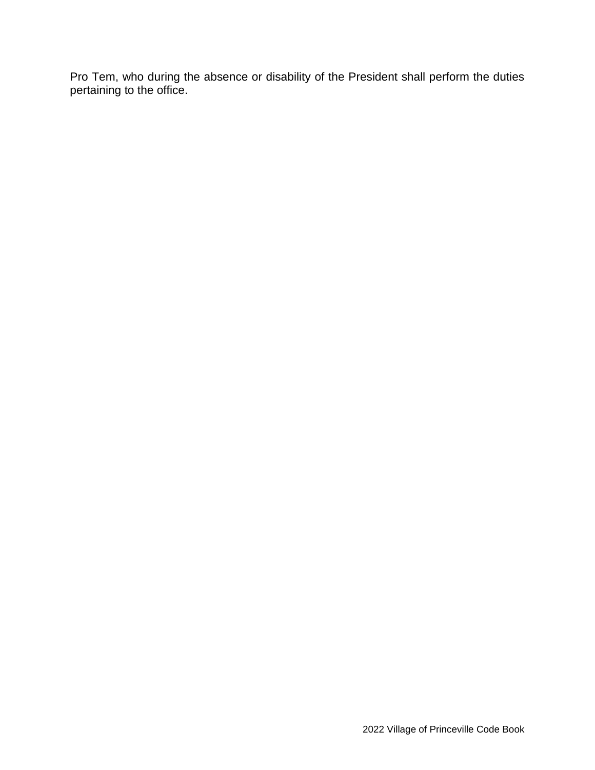Pro Tem, who during the absence or disability of the President shall perform the duties pertaining to the office.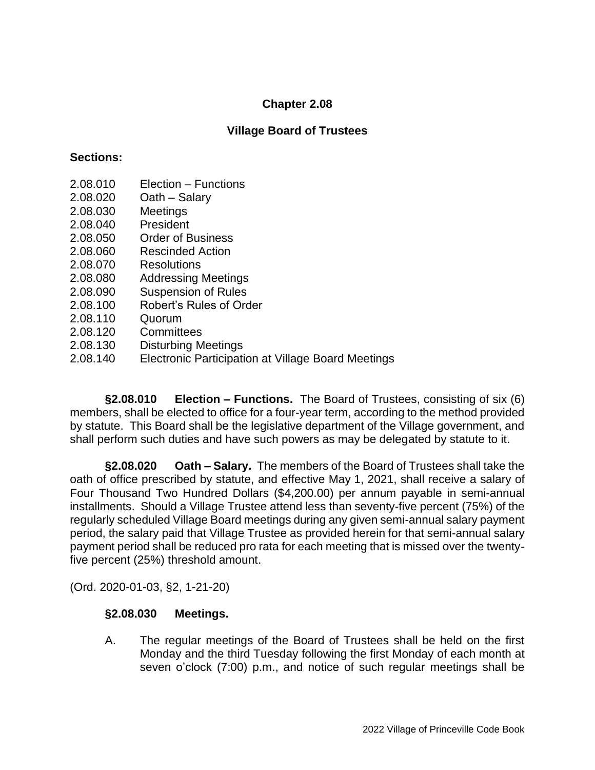## **Village Board of Trustees**

#### **Sections:**

- 2.08.010 Election Functions
- 2.08.020 Oath Salary
- 2.08.030 Meetings
- 2.08.040 President
- 2.08.050 Order of Business
- 2.08.060 Rescinded Action
- 2.08.070 Resolutions
- 2.08.080 Addressing Meetings
- 2.08.090 Suspension of Rules
- 2.08.100 Robert's Rules of Order
- 2.08.110 Quorum
- 2.08.120 Committees
- 2.08.130 Disturbing Meetings
- 2.08.140 Electronic Participation at Village Board Meetings

**§2.08.010 Election – Functions.** The Board of Trustees, consisting of six (6) members, shall be elected to office for a four-year term, according to the method provided by statute. This Board shall be the legislative department of the Village government, and shall perform such duties and have such powers as may be delegated by statute to it.

**§2.08.020 Oath – Salary.** The members of the Board of Trustees shall take the oath of office prescribed by statute, and effective May 1, 2021, shall receive a salary of Four Thousand Two Hundred Dollars (\$4,200.00) per annum payable in semi-annual installments. Should a Village Trustee attend less than seventy-five percent (75%) of the regularly scheduled Village Board meetings during any given semi-annual salary payment period, the salary paid that Village Trustee as provided herein for that semi-annual salary payment period shall be reduced pro rata for each meeting that is missed over the twentyfive percent (25%) threshold amount.

(Ord. 2020-01-03, §2, 1-21-20)

#### **§2.08.030 Meetings.**

A. The regular meetings of the Board of Trustees shall be held on the first Monday and the third Tuesday following the first Monday of each month at seven o'clock (7:00) p.m., and notice of such regular meetings shall be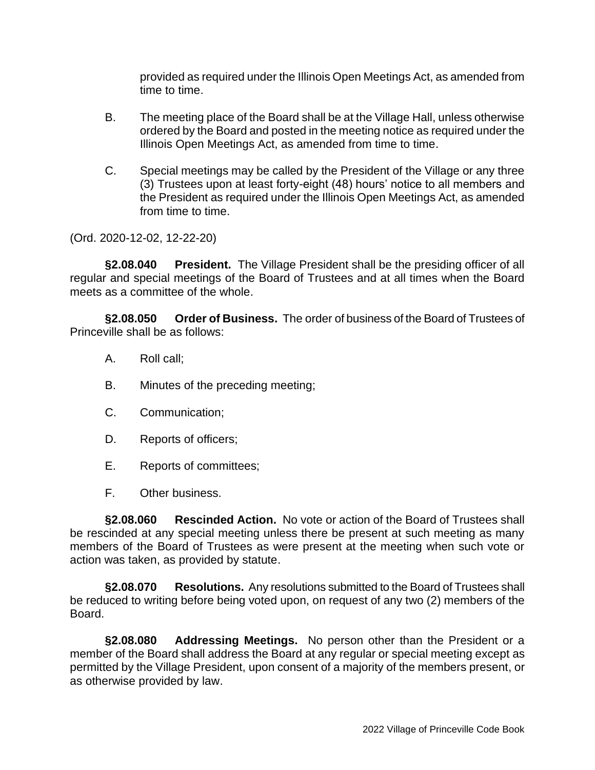provided as required under the Illinois Open Meetings Act, as amended from time to time.

- B. The meeting place of the Board shall be at the Village Hall, unless otherwise ordered by the Board and posted in the meeting notice as required under the Illinois Open Meetings Act, as amended from time to time.
- C. Special meetings may be called by the President of the Village or any three (3) Trustees upon at least forty-eight (48) hours' notice to all members and the President as required under the Illinois Open Meetings Act, as amended from time to time.

(Ord. 2020-12-02, 12-22-20)

**§2.08.040 President.** The Village President shall be the presiding officer of all regular and special meetings of the Board of Trustees and at all times when the Board meets as a committee of the whole.

**§2.08.050 Order of Business.** The order of business of the Board of Trustees of Princeville shall be as follows:

- A. Roll call;
- B. Minutes of the preceding meeting;
- C. Communication;
- D. Reports of officers;
- E. Reports of committees;
- F. Other business.

**§2.08.060 Rescinded Action.** No vote or action of the Board of Trustees shall be rescinded at any special meeting unless there be present at such meeting as many members of the Board of Trustees as were present at the meeting when such vote or action was taken, as provided by statute.

**§2.08.070 Resolutions.** Any resolutions submitted to the Board of Trustees shall be reduced to writing before being voted upon, on request of any two (2) members of the Board.

**§2.08.080 Addressing Meetings.** No person other than the President or a member of the Board shall address the Board at any regular or special meeting except as permitted by the Village President, upon consent of a majority of the members present, or as otherwise provided by law.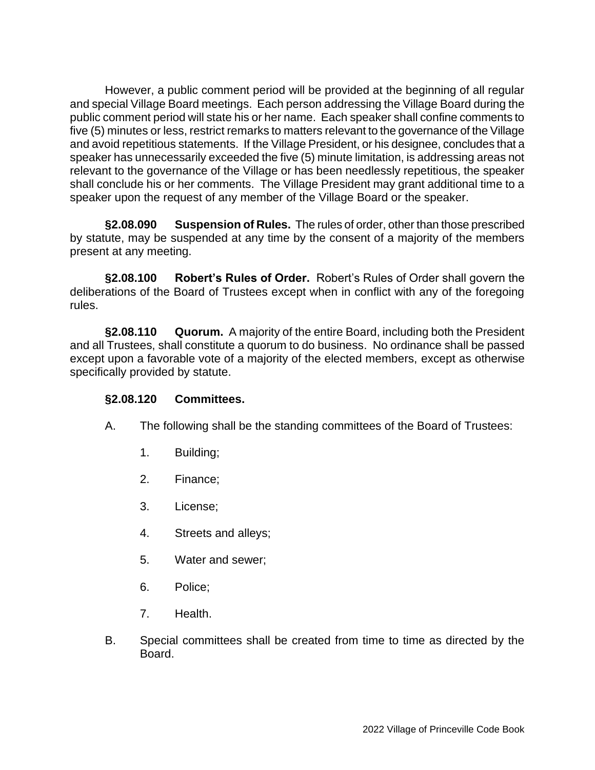However, a public comment period will be provided at the beginning of all regular and special Village Board meetings. Each person addressing the Village Board during the public comment period will state his or her name. Each speaker shall confine comments to five (5) minutes or less, restrict remarks to matters relevant to the governance of the Village and avoid repetitious statements. If the Village President, or his designee, concludes that a speaker has unnecessarily exceeded the five (5) minute limitation, is addressing areas not relevant to the governance of the Village or has been needlessly repetitious, the speaker shall conclude his or her comments. The Village President may grant additional time to a speaker upon the request of any member of the Village Board or the speaker.

**§2.08.090 Suspension of Rules.** The rules of order, other than those prescribed by statute, may be suspended at any time by the consent of a majority of the members present at any meeting.

**§2.08.100 Robert's Rules of Order.** Robert's Rules of Order shall govern the deliberations of the Board of Trustees except when in conflict with any of the foregoing rules.

**§2.08.110 Quorum.** A majority of the entire Board, including both the President and all Trustees, shall constitute a quorum to do business. No ordinance shall be passed except upon a favorable vote of a majority of the elected members, except as otherwise specifically provided by statute.

### **§2.08.120 Committees.**

- A. The following shall be the standing committees of the Board of Trustees:
	- 1. Building;
	- 2. Finance;
	- 3. License;
	- 4. Streets and alleys;
	- 5. Water and sewer;
	- 6. Police;
	- 7. Health.
- B. Special committees shall be created from time to time as directed by the Board.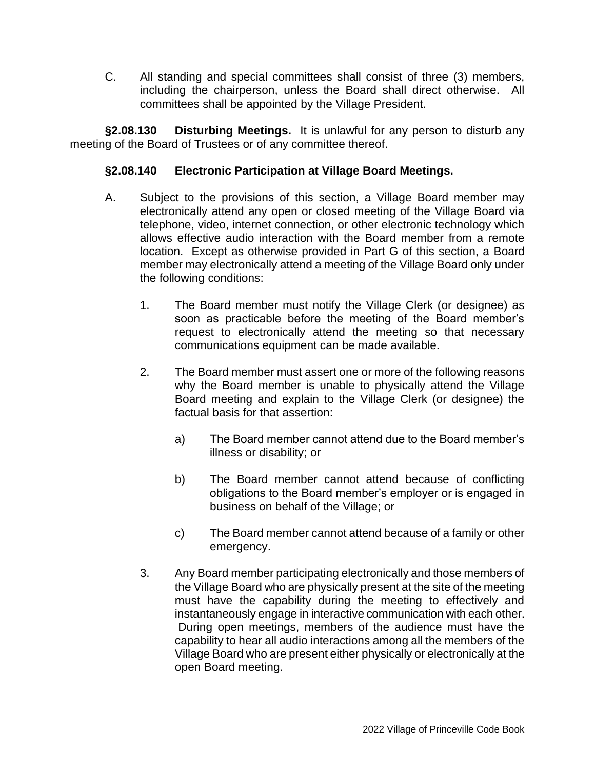C. All standing and special committees shall consist of three (3) members, including the chairperson, unless the Board shall direct otherwise. All committees shall be appointed by the Village President.

**§2.08.130 Disturbing Meetings.** It is unlawful for any person to disturb any meeting of the Board of Trustees or of any committee thereof.

# **§2.08.140 Electronic Participation at Village Board Meetings.**

- A. Subject to the provisions of this section, a Village Board member may electronically attend any open or closed meeting of the Village Board via telephone, video, internet connection, or other electronic technology which allows effective audio interaction with the Board member from a remote location. Except as otherwise provided in Part G of this section, a Board member may electronically attend a meeting of the Village Board only under the following conditions:
	- 1. The Board member must notify the Village Clerk (or designee) as soon as practicable before the meeting of the Board member's request to electronically attend the meeting so that necessary communications equipment can be made available.
	- 2. The Board member must assert one or more of the following reasons why the Board member is unable to physically attend the Village Board meeting and explain to the Village Clerk (or designee) the factual basis for that assertion:
		- a) The Board member cannot attend due to the Board member's illness or disability; or
		- b) The Board member cannot attend because of conflicting obligations to the Board member's employer or is engaged in business on behalf of the Village; or
		- c) The Board member cannot attend because of a family or other emergency.
	- 3. Any Board member participating electronically and those members of the Village Board who are physically present at the site of the meeting must have the capability during the meeting to effectively and instantaneously engage in interactive communication with each other. During open meetings, members of the audience must have the capability to hear all audio interactions among all the members of the Village Board who are present either physically or electronically at the open Board meeting.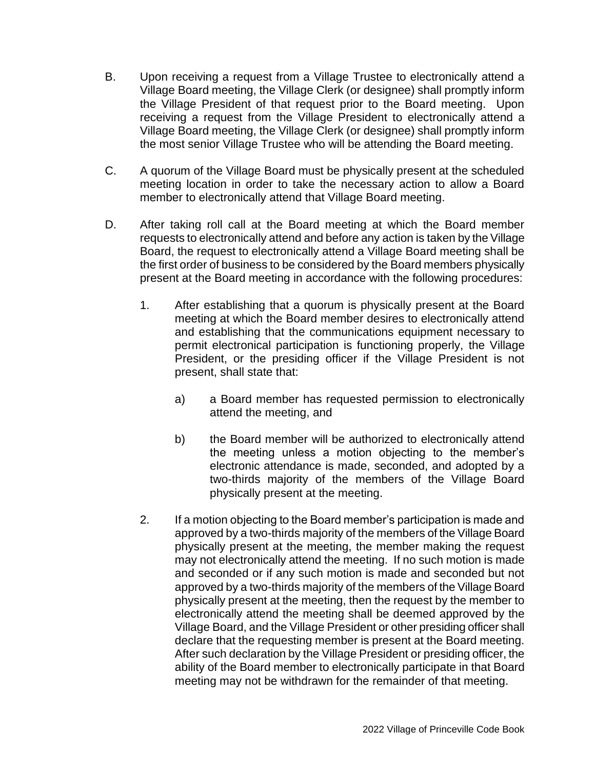- B. Upon receiving a request from a Village Trustee to electronically attend a Village Board meeting, the Village Clerk (or designee) shall promptly inform the Village President of that request prior to the Board meeting. Upon receiving a request from the Village President to electronically attend a Village Board meeting, the Village Clerk (or designee) shall promptly inform the most senior Village Trustee who will be attending the Board meeting.
- C. A quorum of the Village Board must be physically present at the scheduled meeting location in order to take the necessary action to allow a Board member to electronically attend that Village Board meeting.
- D. After taking roll call at the Board meeting at which the Board member requests to electronically attend and before any action is taken by the Village Board, the request to electronically attend a Village Board meeting shall be the first order of business to be considered by the Board members physically present at the Board meeting in accordance with the following procedures:
	- 1. After establishing that a quorum is physically present at the Board meeting at which the Board member desires to electronically attend and establishing that the communications equipment necessary to permit electronical participation is functioning properly, the Village President, or the presiding officer if the Village President is not present, shall state that:
		- a) a Board member has requested permission to electronically attend the meeting, and
		- b) the Board member will be authorized to electronically attend the meeting unless a motion objecting to the member's electronic attendance is made, seconded, and adopted by a two-thirds majority of the members of the Village Board physically present at the meeting.
	- 2. If a motion objecting to the Board member's participation is made and approved by a two-thirds majority of the members of the Village Board physically present at the meeting, the member making the request may not electronically attend the meeting. If no such motion is made and seconded or if any such motion is made and seconded but not approved by a two-thirds majority of the members of the Village Board physically present at the meeting, then the request by the member to electronically attend the meeting shall be deemed approved by the Village Board, and the Village President or other presiding officer shall declare that the requesting member is present at the Board meeting. After such declaration by the Village President or presiding officer, the ability of the Board member to electronically participate in that Board meeting may not be withdrawn for the remainder of that meeting.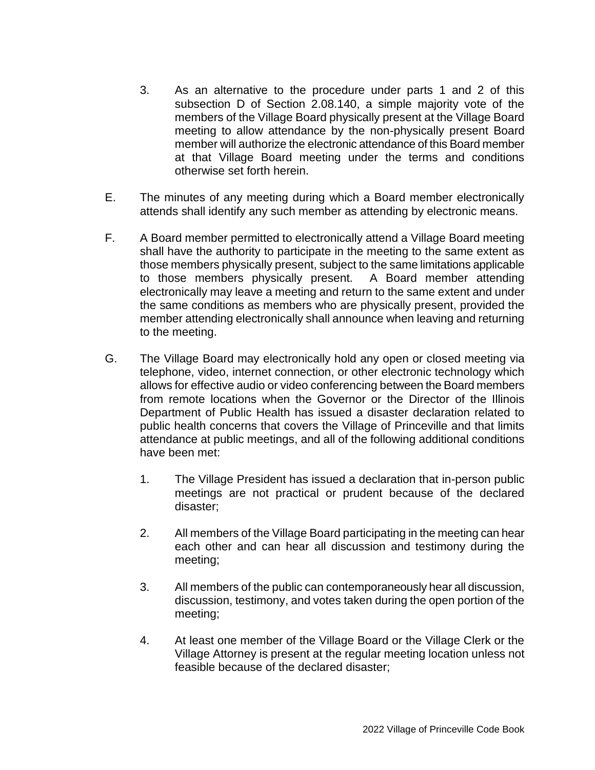- 3. As an alternative to the procedure under parts 1 and 2 of this subsection D of Section 2.08.140, a simple majority vote of the members of the Village Board physically present at the Village Board meeting to allow attendance by the non-physically present Board member will authorize the electronic attendance of this Board member at that Village Board meeting under the terms and conditions otherwise set forth herein.
- E. The minutes of any meeting during which a Board member electronically attends shall identify any such member as attending by electronic means.
- F. A Board member permitted to electronically attend a Village Board meeting shall have the authority to participate in the meeting to the same extent as those members physically present, subject to the same limitations applicable to those members physically present. A Board member attending electronically may leave a meeting and return to the same extent and under the same conditions as members who are physically present, provided the member attending electronically shall announce when leaving and returning to the meeting.
- G. The Village Board may electronically hold any open or closed meeting via telephone, video, internet connection, or other electronic technology which allows for effective audio or video conferencing between the Board members from remote locations when the Governor or the Director of the Illinois Department of Public Health has issued a disaster declaration related to public health concerns that covers the Village of Princeville and that limits attendance at public meetings, and all of the following additional conditions have been met:
	- 1. The Village President has issued a declaration that in-person public meetings are not practical or prudent because of the declared disaster;
	- 2. All members of the Village Board participating in the meeting can hear each other and can hear all discussion and testimony during the meeting;
	- 3. All members of the public can contemporaneously hear all discussion, discussion, testimony, and votes taken during the open portion of the meeting;
	- 4. At least one member of the Village Board or the Village Clerk or the Village Attorney is present at the regular meeting location unless not feasible because of the declared disaster;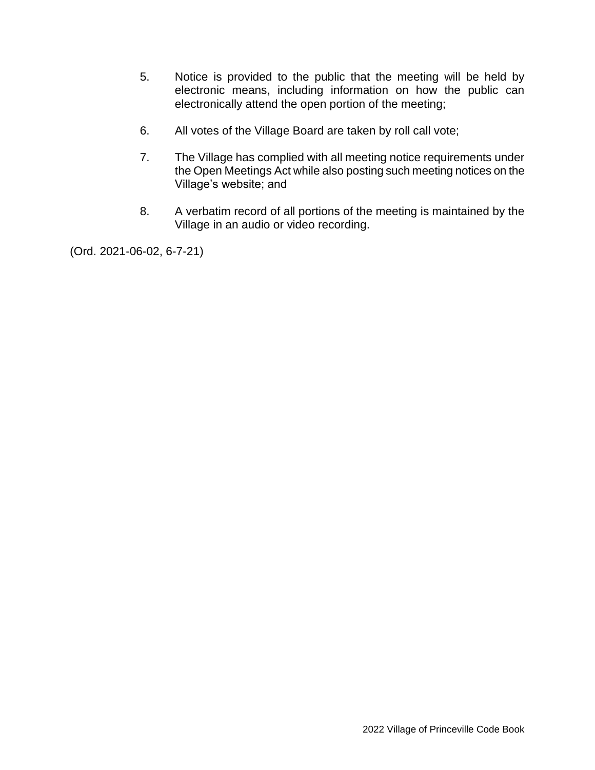- 5. Notice is provided to the public that the meeting will be held by electronic means, including information on how the public can electronically attend the open portion of the meeting;
- 6. All votes of the Village Board are taken by roll call vote;
- 7. The Village has complied with all meeting notice requirements under the Open Meetings Act while also posting such meeting notices on the Village's website; and
- 8. A verbatim record of all portions of the meeting is maintained by the Village in an audio or video recording.

(Ord. 2021-06-02, 6-7-21)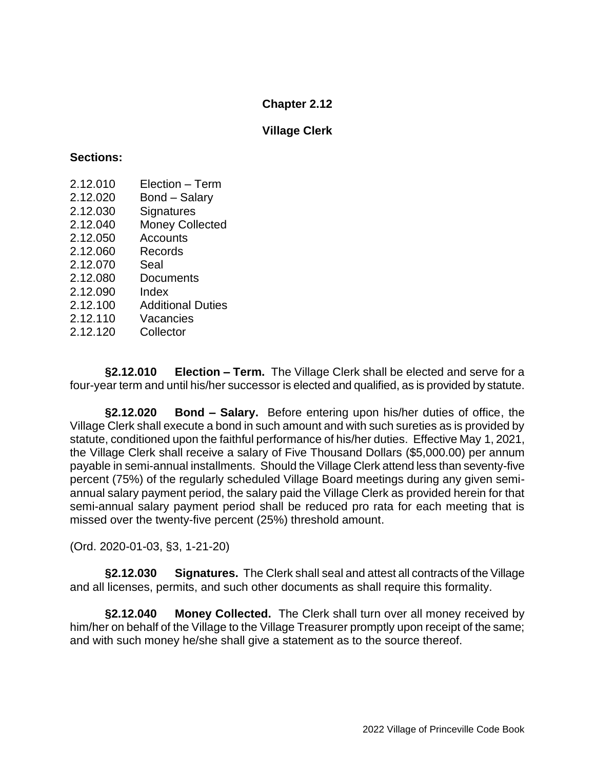### **Village Clerk**

#### **Sections:**

- 2.12.010 Election Term
- 2.12.020 Bond Salary
- 2.12.030 Signatures
- 2.12.040 Money Collected
- 2.12.050 Accounts
- 2.12.060 Records
- 2.12.070 Seal
- 2.12.080 Documents
- 2.12.090 Index
- 2.12.100 Additional Duties
- 2.12.110 Vacancies
- 2.12.120 Collector

**§2.12.010 Election – Term.** The Village Clerk shall be elected and serve for a four-year term and until his/her successor is elected and qualified, as is provided by statute.

**§2.12.020 Bond – Salary.** Before entering upon his/her duties of office, the Village Clerk shall execute a bond in such amount and with such sureties as is provided by statute, conditioned upon the faithful performance of his/her duties. Effective May 1, 2021, the Village Clerk shall receive a salary of Five Thousand Dollars (\$5,000.00) per annum payable in semi-annual installments. Should the Village Clerk attend less than seventy-five percent (75%) of the regularly scheduled Village Board meetings during any given semiannual salary payment period, the salary paid the Village Clerk as provided herein for that semi-annual salary payment period shall be reduced pro rata for each meeting that is missed over the twenty-five percent (25%) threshold amount.

(Ord. 2020-01-03, §3, 1-21-20)

**§2.12.030 Signatures.** The Clerk shall seal and attest all contracts of the Village and all licenses, permits, and such other documents as shall require this formality.

**§2.12.040 Money Collected.** The Clerk shall turn over all money received by him/her on behalf of the Village to the Village Treasurer promptly upon receipt of the same; and with such money he/she shall give a statement as to the source thereof.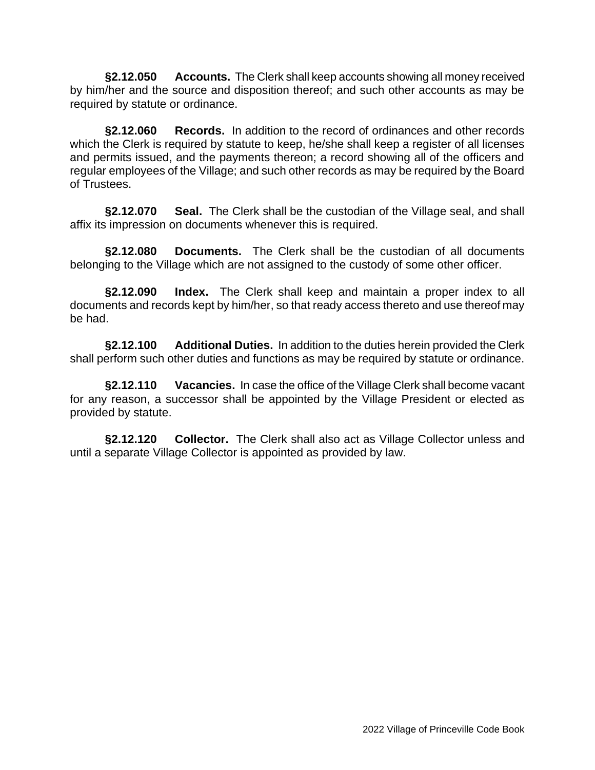**§2.12.050 Accounts.** The Clerk shall keep accounts showing all money received by him/her and the source and disposition thereof; and such other accounts as may be required by statute or ordinance.

**§2.12.060 Records.** In addition to the record of ordinances and other records which the Clerk is required by statute to keep, he/she shall keep a register of all licenses and permits issued, and the payments thereon; a record showing all of the officers and regular employees of the Village; and such other records as may be required by the Board of Trustees.

**§2.12.070 Seal.** The Clerk shall be the custodian of the Village seal, and shall affix its impression on documents whenever this is required.

**§2.12.080 Documents.** The Clerk shall be the custodian of all documents belonging to the Village which are not assigned to the custody of some other officer.

**§2.12.090 Index.** The Clerk shall keep and maintain a proper index to all documents and records kept by him/her, so that ready access thereto and use thereof may be had.

**§2.12.100 Additional Duties.** In addition to the duties herein provided the Clerk shall perform such other duties and functions as may be required by statute or ordinance.

**§2.12.110 Vacancies.** In case the office of the Village Clerk shall become vacant for any reason, a successor shall be appointed by the Village President or elected as provided by statute.

**§2.12.120 Collector.** The Clerk shall also act as Village Collector unless and until a separate Village Collector is appointed as provided by law.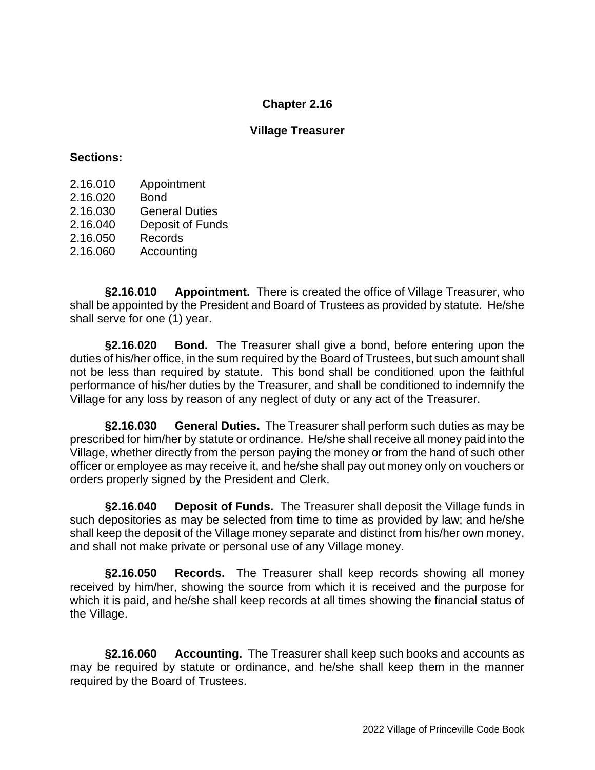#### **Village Treasurer**

#### **Sections:**

- 2.16.010 Appointment
- 2.16.020 Bond
- 2.16.030 General Duties
- 2.16.040 Deposit of Funds
- 2.16.050 Records
- 2.16.060 Accounting

**§2.16.010 Appointment.** There is created the office of Village Treasurer, who shall be appointed by the President and Board of Trustees as provided by statute. He/she shall serve for one (1) year.

**§2.16.020 Bond.** The Treasurer shall give a bond, before entering upon the duties of his/her office, in the sum required by the Board of Trustees, but such amount shall not be less than required by statute. This bond shall be conditioned upon the faithful performance of his/her duties by the Treasurer, and shall be conditioned to indemnify the Village for any loss by reason of any neglect of duty or any act of the Treasurer.

**§2.16.030 General Duties.** The Treasurer shall perform such duties as may be prescribed for him/her by statute or ordinance. He/she shall receive all money paid into the Village, whether directly from the person paying the money or from the hand of such other officer or employee as may receive it, and he/she shall pay out money only on vouchers or orders properly signed by the President and Clerk.

**§2.16.040 Deposit of Funds.** The Treasurer shall deposit the Village funds in such depositories as may be selected from time to time as provided by law; and he/she shall keep the deposit of the Village money separate and distinct from his/her own money, and shall not make private or personal use of any Village money.

**§2.16.050 Records.** The Treasurer shall keep records showing all money received by him/her, showing the source from which it is received and the purpose for which it is paid, and he/she shall keep records at all times showing the financial status of the Village.

**§2.16.060 Accounting.** The Treasurer shall keep such books and accounts as may be required by statute or ordinance, and he/she shall keep them in the manner required by the Board of Trustees.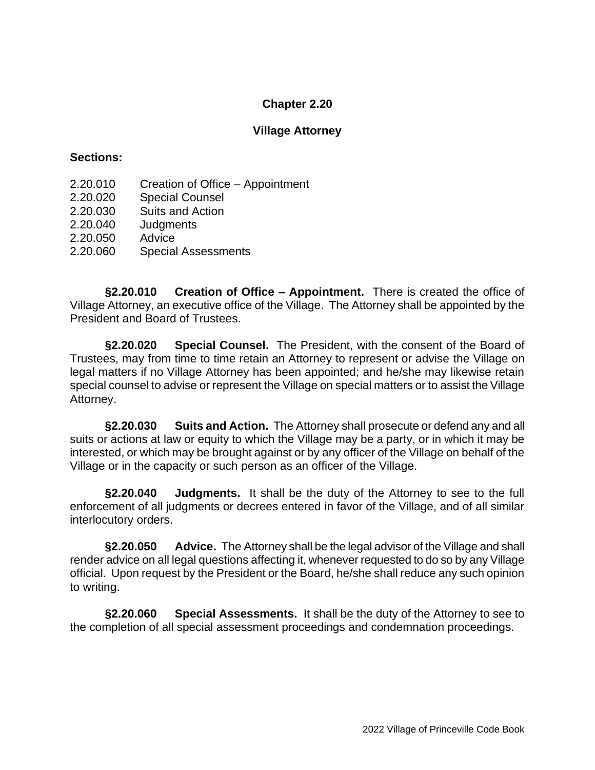### **Village Attorney**

#### **Sections:**

- 2.20.010 Creation of Office Appointment
- 2.20.020 Special Counsel
- 2.20.030 Suits and Action
- 2.20.040 Judgments
- 2.20.050 Advice
- 2.20.060 Special Assessments

**§2.20.010 Creation of Office – Appointment.** There is created the office of Village Attorney, an executive office of the Village. The Attorney shall be appointed by the President and Board of Trustees.

**§2.20.020 Special Counsel.** The President, with the consent of the Board of Trustees, may from time to time retain an Attorney to represent or advise the Village on legal matters if no Village Attorney has been appointed; and he/she may likewise retain special counsel to advise or represent the Village on special matters or to assist the Village Attorney.

**§2.20.030 Suits and Action.** The Attorney shall prosecute or defend any and all suits or actions at law or equity to which the Village may be a party, or in which it may be interested, or which may be brought against or by any officer of the Village on behalf of the Village or in the capacity or such person as an officer of the Village.

**§2.20.040 Judgments.** It shall be the duty of the Attorney to see to the full enforcement of all judgments or decrees entered in favor of the Village, and of all similar interlocutory orders.

**§2.20.050 Advice.** The Attorney shall be the legal advisor of the Village and shall render advice on all legal questions affecting it, whenever requested to do so by any Village official. Upon request by the President or the Board, he/she shall reduce any such opinion to writing.

**§2.20.060 Special Assessments.** It shall be the duty of the Attorney to see to the completion of all special assessment proceedings and condemnation proceedings.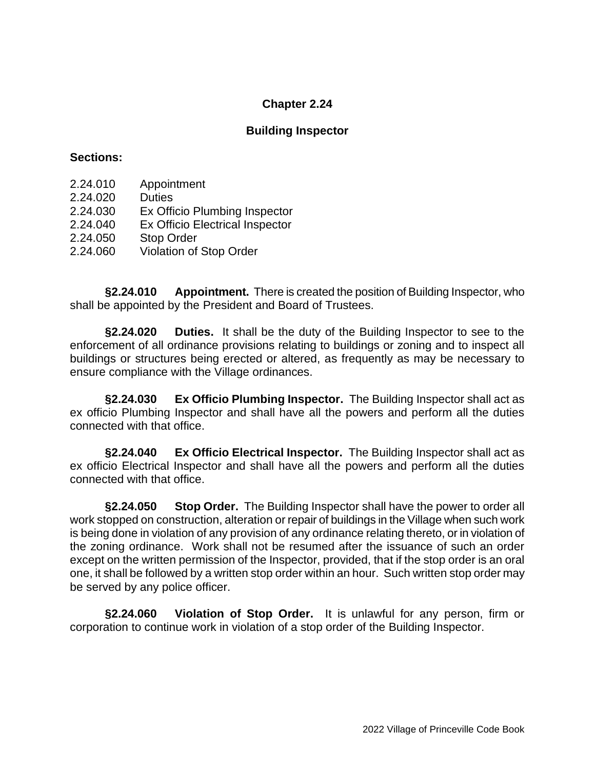### **Building Inspector**

#### **Sections:**

- 2.24.010 Appointment
- 2.24.020 Duties
- 2.24.030 Ex Officio Plumbing Inspector
- 2.24.040 Ex Officio Electrical Inspector
- 2.24.050 Stop Order
- 2.24.060 Violation of Stop Order

**§2.24.010 Appointment.** There is created the position of Building Inspector, who shall be appointed by the President and Board of Trustees.

**§2.24.020 Duties.** It shall be the duty of the Building Inspector to see to the enforcement of all ordinance provisions relating to buildings or zoning and to inspect all buildings or structures being erected or altered, as frequently as may be necessary to ensure compliance with the Village ordinances.

**§2.24.030 Ex Officio Plumbing Inspector.** The Building Inspector shall act as ex officio Plumbing Inspector and shall have all the powers and perform all the duties connected with that office.

**§2.24.040 Ex Officio Electrical Inspector.** The Building Inspector shall act as ex officio Electrical Inspector and shall have all the powers and perform all the duties connected with that office.

**§2.24.050 Stop Order.** The Building Inspector shall have the power to order all work stopped on construction, alteration or repair of buildings in the Village when such work is being done in violation of any provision of any ordinance relating thereto, or in violation of the zoning ordinance. Work shall not be resumed after the issuance of such an order except on the written permission of the Inspector, provided, that if the stop order is an oral one, it shall be followed by a written stop order within an hour. Such written stop order may be served by any police officer.

**§2.24.060 Violation of Stop Order.** It is unlawful for any person, firm or corporation to continue work in violation of a stop order of the Building Inspector.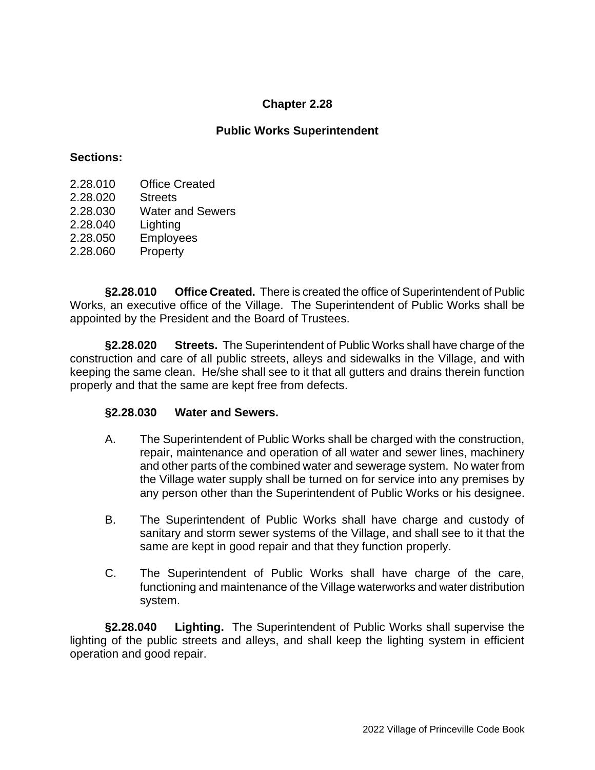## **Public Works Superintendent**

#### **Sections:**

- 2.28.010 Office Created
- 2.28.020 Streets
- 2.28.030 Water and Sewers
- 2.28.040 Lighting
- 2.28.050 Employees
- 2.28.060 Property

**§2.28.010 Office Created.** There is created the office of Superintendent of Public Works, an executive office of the Village. The Superintendent of Public Works shall be appointed by the President and the Board of Trustees.

**§2.28.020 Streets.** The Superintendent of Public Works shall have charge of the construction and care of all public streets, alleys and sidewalks in the Village, and with keeping the same clean. He/she shall see to it that all gutters and drains therein function properly and that the same are kept free from defects.

### **§2.28.030 Water and Sewers.**

- A. The Superintendent of Public Works shall be charged with the construction, repair, maintenance and operation of all water and sewer lines, machinery and other parts of the combined water and sewerage system. No water from the Village water supply shall be turned on for service into any premises by any person other than the Superintendent of Public Works or his designee.
- B. The Superintendent of Public Works shall have charge and custody of sanitary and storm sewer systems of the Village, and shall see to it that the same are kept in good repair and that they function properly.
- C. The Superintendent of Public Works shall have charge of the care, functioning and maintenance of the Village waterworks and water distribution system.

**§2.28.040 Lighting.** The Superintendent of Public Works shall supervise the lighting of the public streets and alleys, and shall keep the lighting system in efficient operation and good repair.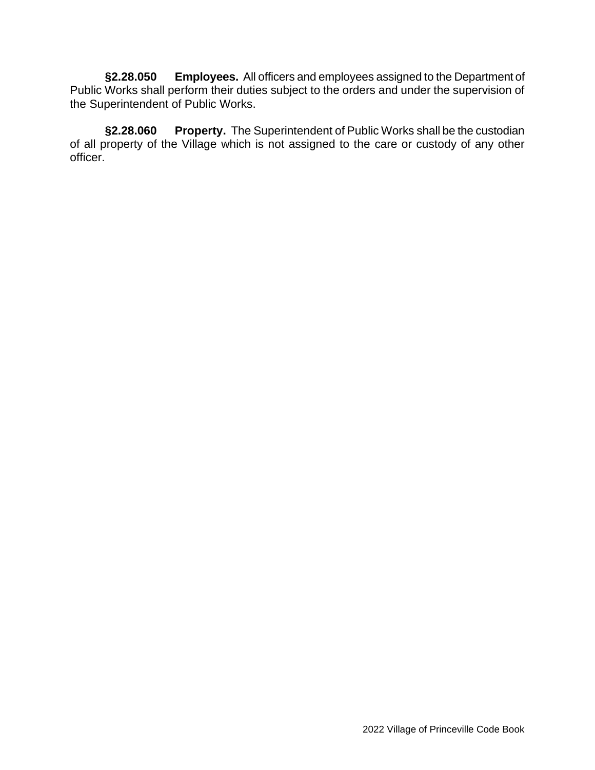**§2.28.050 Employees.** All officers and employees assigned to the Department of Public Works shall perform their duties subject to the orders and under the supervision of the Superintendent of Public Works.

**§2.28.060 Property.** The Superintendent of Public Works shall be the custodian of all property of the Village which is not assigned to the care or custody of any other officer.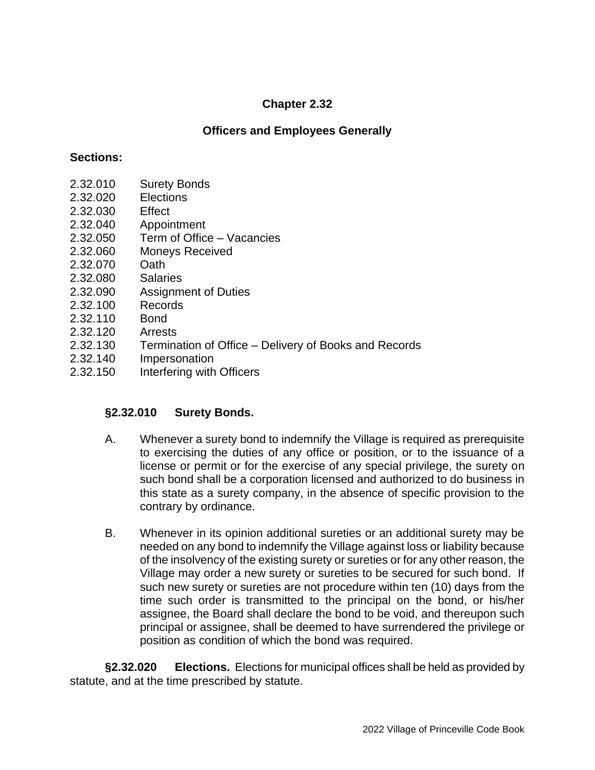# **Officers and Employees Generally**

### **Sections:**

- 2.32.010 Surety Bonds
- 2.32.020 Elections
- 2.32.030 Effect
- 2.32.040 Appointment
- 2.32.050 Term of Office Vacancies
- 2.32.060 Moneys Received
- 2.32.070 Oath
- 2.32.080 Salaries
- 2.32.090 Assignment of Duties
- 2.32.100 Records
- 2.32.110 Bond
- 2.32.120 Arrests
- 2.32.130 Termination of Office Delivery of Books and Records
- 2.32.140 Impersonation
- 2.32.150 Interfering with Officers

# **§2.32.010 Surety Bonds.**

- A. Whenever a surety bond to indemnify the Village is required as prerequisite to exercising the duties of any office or position, or to the issuance of a license or permit or for the exercise of any special privilege, the surety on such bond shall be a corporation licensed and authorized to do business in this state as a surety company, in the absence of specific provision to the contrary by ordinance.
- B. Whenever in its opinion additional sureties or an additional surety may be needed on any bond to indemnify the Village against loss or liability because of the insolvency of the existing surety or sureties or for any other reason, the Village may order a new surety or sureties to be secured for such bond. If such new surety or sureties are not procedure within ten (10) days from the time such order is transmitted to the principal on the bond, or his/her assignee, the Board shall declare the bond to be void, and thereupon such principal or assignee, shall be deemed to have surrendered the privilege or position as condition of which the bond was required.

**§2.32.020 Elections.** Elections for municipal offices shall be held as provided by statute, and at the time prescribed by statute.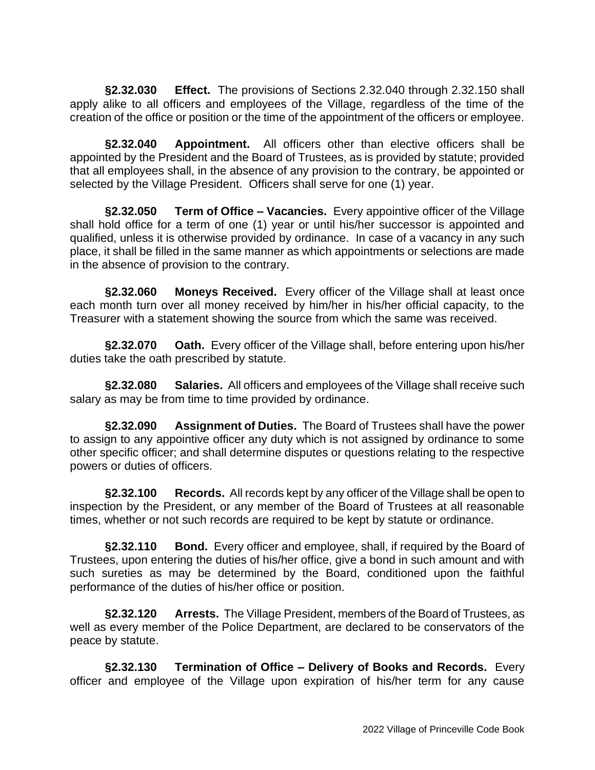**§2.32.030 Effect.** The provisions of Sections 2.32.040 through 2.32.150 shall apply alike to all officers and employees of the Village, regardless of the time of the creation of the office or position or the time of the appointment of the officers or employee.

**§2.32.040 Appointment.** All officers other than elective officers shall be appointed by the President and the Board of Trustees, as is provided by statute; provided that all employees shall, in the absence of any provision to the contrary, be appointed or selected by the Village President. Officers shall serve for one (1) year.

**§2.32.050 Term of Office – Vacancies.** Every appointive officer of the Village shall hold office for a term of one (1) year or until his/her successor is appointed and qualified, unless it is otherwise provided by ordinance. In case of a vacancy in any such place, it shall be filled in the same manner as which appointments or selections are made in the absence of provision to the contrary.

**§2.32.060 Moneys Received.** Every officer of the Village shall at least once each month turn over all money received by him/her in his/her official capacity, to the Treasurer with a statement showing the source from which the same was received.

**§2.32.070 Oath.** Every officer of the Village shall, before entering upon his/her duties take the oath prescribed by statute.

**§2.32.080 Salaries.** All officers and employees of the Village shall receive such salary as may be from time to time provided by ordinance.

**§2.32.090 Assignment of Duties.** The Board of Trustees shall have the power to assign to any appointive officer any duty which is not assigned by ordinance to some other specific officer; and shall determine disputes or questions relating to the respective powers or duties of officers.

**§2.32.100 Records.** All records kept by any officer of the Village shall be open to inspection by the President, or any member of the Board of Trustees at all reasonable times, whether or not such records are required to be kept by statute or ordinance.

**§2.32.110 Bond.** Every officer and employee, shall, if required by the Board of Trustees, upon entering the duties of his/her office, give a bond in such amount and with such sureties as may be determined by the Board, conditioned upon the faithful performance of the duties of his/her office or position.

**§2.32.120 Arrests.** The Village President, members of the Board of Trustees, as well as every member of the Police Department, are declared to be conservators of the peace by statute.

**§2.32.130 Termination of Office – Delivery of Books and Records.** Every officer and employee of the Village upon expiration of his/her term for any cause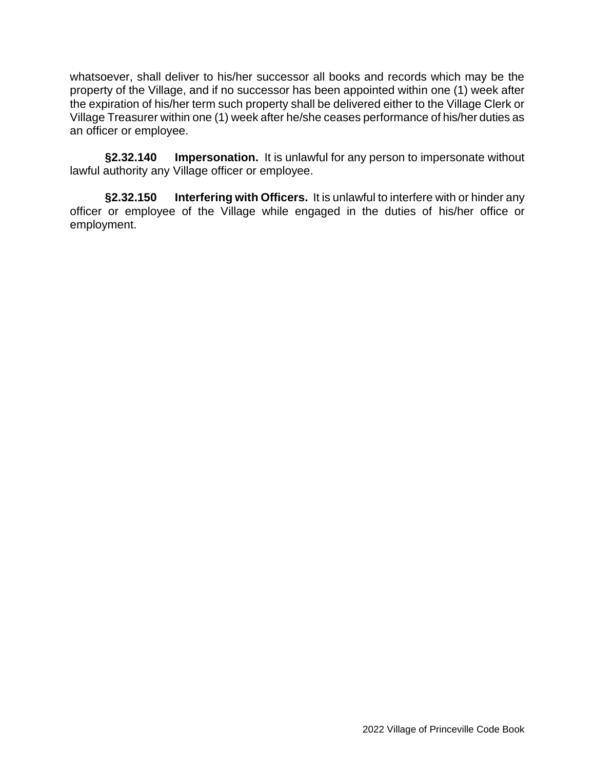whatsoever, shall deliver to his/her successor all books and records which may be the property of the Village, and if no successor has been appointed within one (1) week after the expiration of his/her term such property shall be delivered either to the Village Clerk or Village Treasurer within one (1) week after he/she ceases performance of his/her duties as an officer or employee.

**§2.32.140 Impersonation.** It is unlawful for any person to impersonate without lawful authority any Village officer or employee.

**§2.32.150 Interfering with Officers.** It is unlawful to interfere with or hinder any officer or employee of the Village while engaged in the duties of his/her office or employment.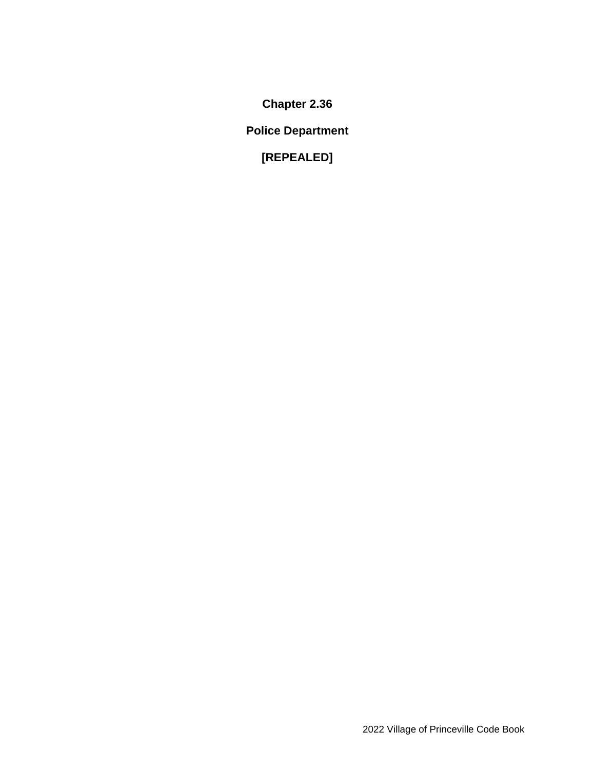**Police Department**

**[REPEALED]**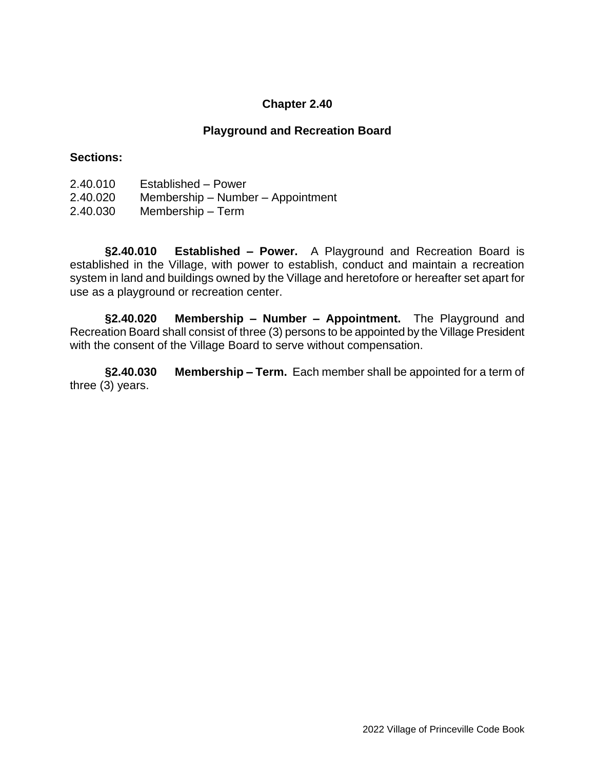### **Playground and Recreation Board**

#### **Sections:**

- 2.40.010 Established Power
- 2.40.020 Membership Number Appointment
- 2.40.030 Membership Term

**§2.40.010 Established – Power.** A Playground and Recreation Board is established in the Village, with power to establish, conduct and maintain a recreation system in land and buildings owned by the Village and heretofore or hereafter set apart for use as a playground or recreation center.

**§2.40.020 Membership – Number – Appointment.** The Playground and Recreation Board shall consist of three (3) persons to be appointed by the Village President with the consent of the Village Board to serve without compensation.

**§2.40.030 Membership – Term.** Each member shall be appointed for a term of three (3) years.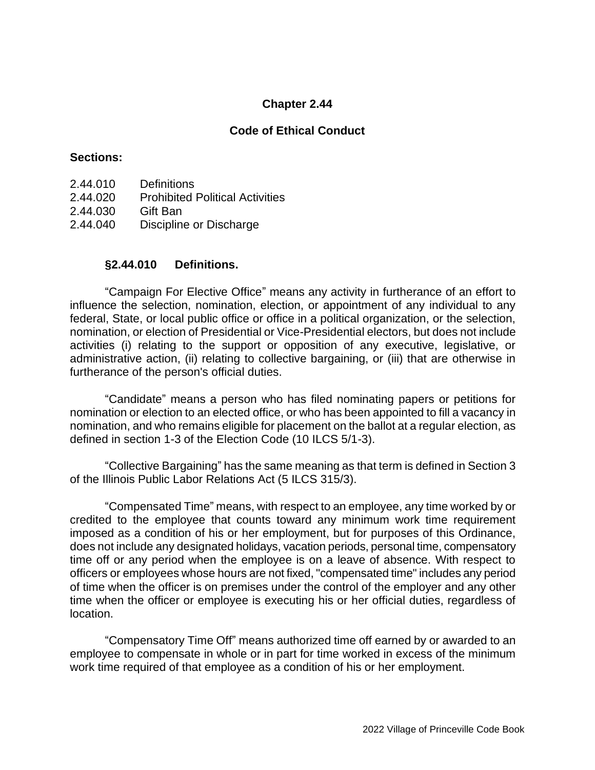### **Code of Ethical Conduct**

#### **Sections:**

- 2.44.010 Definitions
- 2.44.020 Prohibited Political Activities
- 2.44.030 Gift Ban
- 2.44.040 Discipline or Discharge

#### **§2.44.010 Definitions.**

"Campaign For Elective Office" means any activity in furtherance of an effort to influence the selection, nomination, election, or appointment of any individual to any federal, State, or local public office or office in a political organization, or the selection, nomination, or election of Presidential or Vice-Presidential electors, but does not include activities (i) relating to the support or opposition of any executive, legislative, or administrative action, (ii) relating to collective bargaining, or (iii) that are otherwise in furtherance of the person's official duties.

"Candidate" means a person who has filed nominating papers or petitions for nomination or election to an elected office, or who has been appointed to fill a vacancy in nomination, and who remains eligible for placement on the ballot at a regular election, as defined in section 1-3 of the Election Code (10 ILCS 5/1-3).

"Collective Bargaining" has the same meaning as that term is defined in Section 3 of the Illinois Public Labor Relations Act (5 ILCS 315/3).

"Compensated Time" means, with respect to an employee, any time worked by or credited to the employee that counts toward any minimum work time requirement imposed as a condition of his or her employment, but for purposes of this Ordinance, does not include any designated holidays, vacation periods, personal time, compensatory time off or any period when the employee is on a leave of absence. With respect to officers or employees whose hours are not fixed, "compensated time" includes any period of time when the officer is on premises under the control of the employer and any other time when the officer or employee is executing his or her official duties, regardless of location.

"Compensatory Time Off" means authorized time off earned by or awarded to an employee to compensate in whole or in part for time worked in excess of the minimum work time required of that employee as a condition of his or her employment.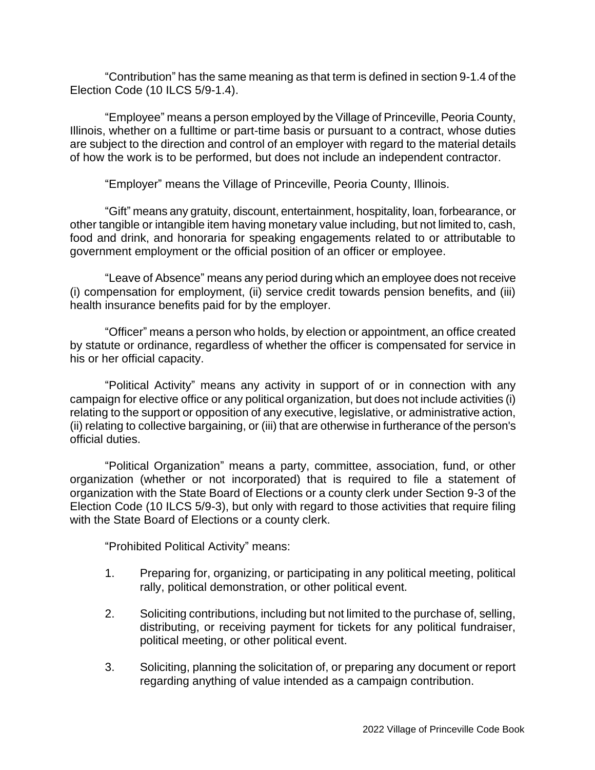"Contribution" has the same meaning as that term is defined in section 9-1.4 of the Election Code (10 ILCS 5/9-1.4).

"Employee" means a person employed by the Village of Princeville, Peoria County, Illinois, whether on a fulltime or part-time basis or pursuant to a contract, whose duties are subject to the direction and control of an employer with regard to the material details of how the work is to be performed, but does not include an independent contractor.

"Employer" means the Village of Princeville, Peoria County, Illinois.

"Gift" means any gratuity, discount, entertainment, hospitality, loan, forbearance, or other tangible or intangible item having monetary value including, but not limited to, cash, food and drink, and honoraria for speaking engagements related to or attributable to government employment or the official position of an officer or employee.

"Leave of Absence" means any period during which an employee does not receive (i) compensation for employment, (ii) service credit towards pension benefits, and (iii) health insurance benefits paid for by the employer.

"Officer" means a person who holds, by election or appointment, an office created by statute or ordinance, regardless of whether the officer is compensated for service in his or her official capacity.

"Political Activity" means any activity in support of or in connection with any campaign for elective office or any political organization, but does not include activities (i) relating to the support or opposition of any executive, legislative, or administrative action, (ii) relating to collective bargaining, or (iii) that are otherwise in furtherance of the person's official duties.

"Political Organization" means a party, committee, association, fund, or other organization (whether or not incorporated) that is required to file a statement of organization with the State Board of Elections or a county clerk under Section 9-3 of the Election Code (10 ILCS 5/9-3), but only with regard to those activities that require filing with the State Board of Elections or a county clerk.

"Prohibited Political Activity" means:

- 1. Preparing for, organizing, or participating in any political meeting, political rally, political demonstration, or other political event.
- 2. Soliciting contributions, including but not limited to the purchase of, selling, distributing, or receiving payment for tickets for any political fundraiser, political meeting, or other political event.
- 3. Soliciting, planning the solicitation of, or preparing any document or report regarding anything of value intended as a campaign contribution.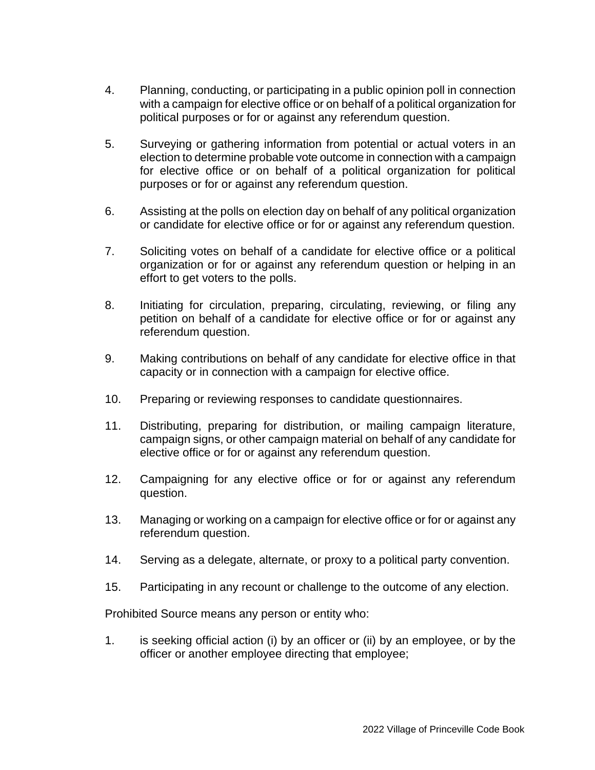- 4. Planning, conducting, or participating in a public opinion poll in connection with a campaign for elective office or on behalf of a political organization for political purposes or for or against any referendum question.
- 5. Surveying or gathering information from potential or actual voters in an election to determine probable vote outcome in connection with a campaign for elective office or on behalf of a political organization for political purposes or for or against any referendum question.
- 6. Assisting at the polls on election day on behalf of any political organization or candidate for elective office or for or against any referendum question.
- 7. Soliciting votes on behalf of a candidate for elective office or a political organization or for or against any referendum question or helping in an effort to get voters to the polls.
- 8. Initiating for circulation, preparing, circulating, reviewing, or filing any petition on behalf of a candidate for elective office or for or against any referendum question.
- 9. Making contributions on behalf of any candidate for elective office in that capacity or in connection with a campaign for elective office.
- 10. Preparing or reviewing responses to candidate questionnaires.
- 11. Distributing, preparing for distribution, or mailing campaign literature, campaign signs, or other campaign material on behalf of any candidate for elective office or for or against any referendum question.
- 12. Campaigning for any elective office or for or against any referendum question.
- 13. Managing or working on a campaign for elective office or for or against any referendum question.
- 14. Serving as a delegate, alternate, or proxy to a political party convention.
- 15. Participating in any recount or challenge to the outcome of any election.

Prohibited Source means any person or entity who:

1. is seeking official action (i) by an officer or (ii) by an employee, or by the officer or another employee directing that employee;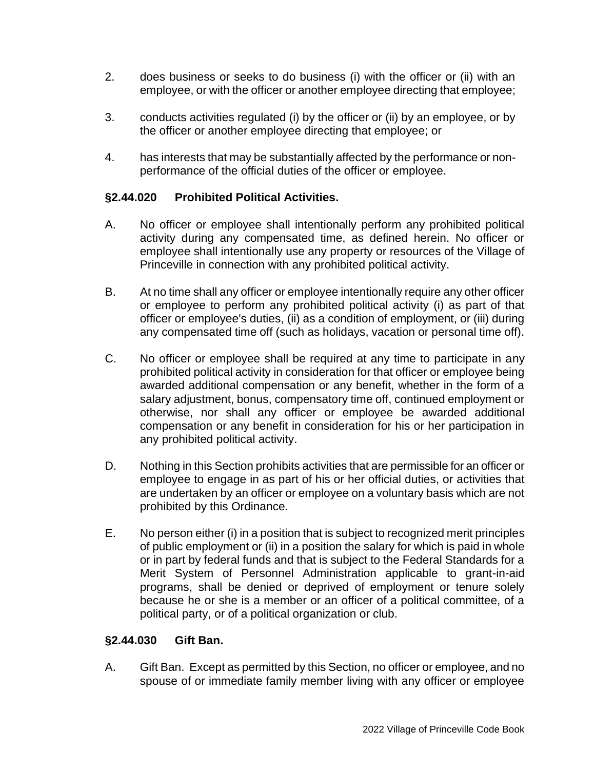- 2. does business or seeks to do business (i) with the officer or (ii) with an employee, or with the officer or another employee directing that employee;
- 3. conducts activities regulated (i) by the officer or (ii) by an employee, or by the officer or another employee directing that employee; or
- 4. has interests that may be substantially affected by the performance or nonperformance of the official duties of the officer or employee.

## **§2.44.020 Prohibited Political Activities.**

- A. No officer or employee shall intentionally perform any prohibited political activity during any compensated time, as defined herein. No officer or employee shall intentionally use any property or resources of the Village of Princeville in connection with any prohibited political activity.
- B. At no time shall any officer or employee intentionally require any other officer or employee to perform any prohibited political activity (i) as part of that officer or employee's duties, (ii) as a condition of employment, or (iii) during any compensated time off (such as holidays, vacation or personal time off).
- C. No officer or employee shall be required at any time to participate in any prohibited political activity in consideration for that officer or employee being awarded additional compensation or any benefit, whether in the form of a salary adjustment, bonus, compensatory time off, continued employment or otherwise, nor shall any officer or employee be awarded additional compensation or any benefit in consideration for his or her participation in any prohibited political activity.
- D. Nothing in this Section prohibits activities that are permissible for an officer or employee to engage in as part of his or her official duties, or activities that are undertaken by an officer or employee on a voluntary basis which are not prohibited by this Ordinance.
- E. No person either (i) in a position that is subject to recognized merit principles of public employment or (ii) in a position the salary for which is paid in whole or in part by federal funds and that is subject to the Federal Standards for a Merit System of Personnel Administration applicable to grant-in-aid programs, shall be denied or deprived of employment or tenure solely because he or she is a member or an officer of a political committee, of a political party, or of a political organization or club.

### **§2.44.030 Gift Ban.**

A. Gift Ban. Except as permitted by this Section, no officer or employee, and no spouse of or immediate family member living with any officer or employee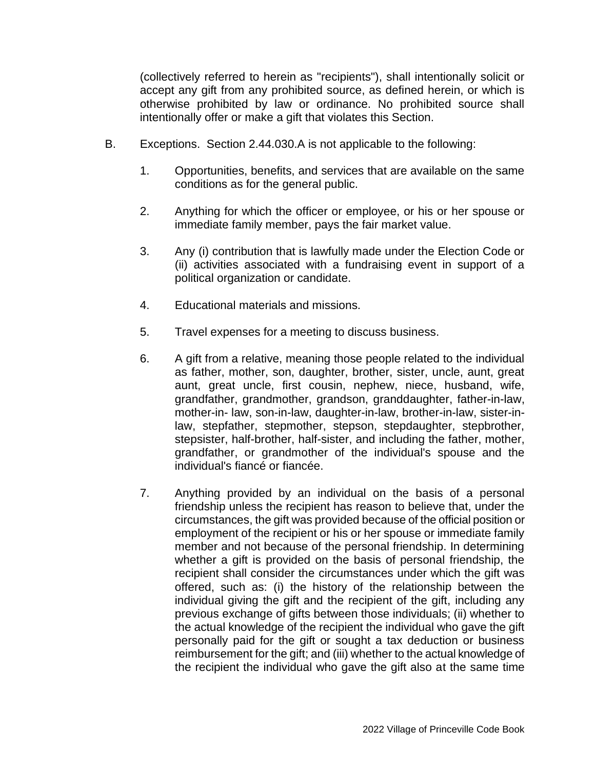(collectively referred to herein as "recipients"), shall intentionally solicit or accept any gift from any prohibited source, as defined herein, or which is otherwise prohibited by law or ordinance. No prohibited source shall intentionally offer or make a gift that violates this Section.

- B. Exceptions. Section 2.44.030.A is not applicable to the following:
	- 1. Opportunities, benefits, and services that are available on the same conditions as for the general public.
	- 2. Anything for which the officer or employee, or his or her spouse or immediate family member, pays the fair market value.
	- 3. Any (i) contribution that is lawfully made under the Election Code or (ii) activities associated with a fundraising event in support of a political organization or candidate.
	- 4. Educational materials and missions.
	- 5. Travel expenses for a meeting to discuss business.
	- 6. A gift from a relative, meaning those people related to the individual as father, mother, son, daughter, brother, sister, uncle, aunt, great aunt, great uncle, first cousin, nephew, niece, husband, wife, grandfather, grandmother, grandson, granddaughter, father-in-law, mother-in- law, son-in-law, daughter-in-law, brother-in-law, sister-inlaw, stepfather, stepmother, stepson, stepdaughter, stepbrother, stepsister, half-brother, half-sister, and including the father, mother, grandfather, or grandmother of the individual's spouse and the individual's fiancé or fiancée.
	- 7. Anything provided by an individual on the basis of a personal friendship unless the recipient has reason to believe that, under the circumstances, the gift was provided because of the official position or employment of the recipient or his or her spouse or immediate family member and not because of the personal friendship. In determining whether a gift is provided on the basis of personal friendship, the recipient shall consider the circumstances under which the gift was offered, such as: (i) the history of the relationship between the individual giving the gift and the recipient of the gift, including any previous exchange of gifts between those individuals; (ii) whether to the actual knowledge of the recipient the individual who gave the gift personally paid for the gift or sought a tax deduction or business reimbursement for the gift; and (iii) whether to the actual knowledge of the recipient the individual who gave the gift also at the same time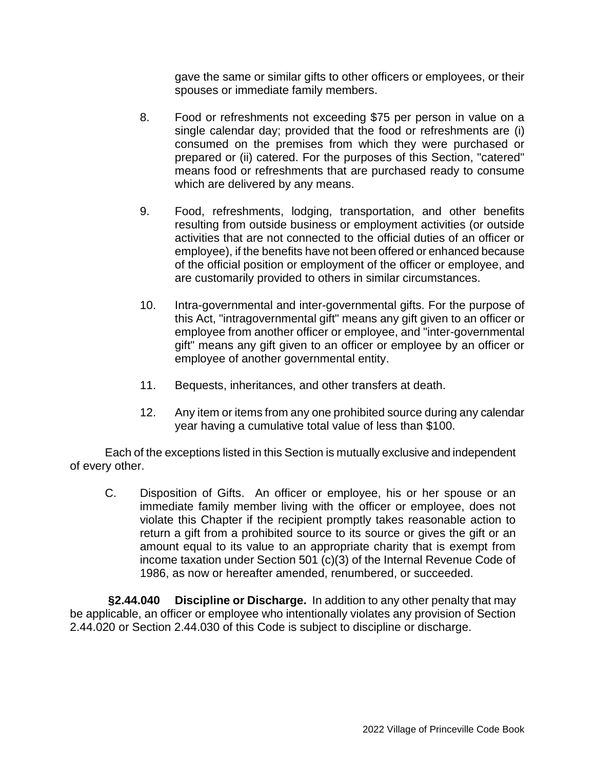gave the same or similar gifts to other officers or employees, or their spouses or immediate family members.

- 8. Food or refreshments not exceeding \$75 per person in value on a single calendar day; provided that the food or refreshments are (i) consumed on the premises from which they were purchased or prepared or (ii) catered. For the purposes of this Section, "catered" means food or refreshments that are purchased ready to consume which are delivered by any means.
- 9. Food, refreshments, lodging, transportation, and other benefits resulting from outside business or employment activities (or outside activities that are not connected to the official duties of an officer or employee), if the benefits have not been offered or enhanced because of the official position or employment of the officer or employee, and are customarily provided to others in similar circumstances.
- 10. Intra-governmental and inter-governmental gifts. For the purpose of this Act, "intragovernmental gift" means any gift given to an officer or employee from another officer or employee, and "inter-governmental gift" means any gift given to an officer or employee by an officer or employee of another governmental entity.
- 11. Bequests, inheritances, and other transfers at death.
- 12. Any item or items from any one prohibited source during any calendar year having a cumulative total value of less than \$100.

Each of the exceptions listed in this Section is mutually exclusive and independent of every other.

C. Disposition of Gifts. An officer or employee, his or her spouse or an immediate family member living with the officer or employee, does not violate this Chapter if the recipient promptly takes reasonable action to return a gift from a prohibited source to its source or gives the gift or an amount equal to its value to an appropriate charity that is exempt from income taxation under Section 501 (c)(3) of the Internal Revenue Code of 1986, as now or hereafter amended, renumbered, or succeeded.

**§2.44.040 Discipline or Discharge.** In addition to any other penalty that may be applicable, an officer or employee who intentionally violates any provision of Section 2.44.020 or Section 2.44.030 of this Code is subject to discipline or discharge.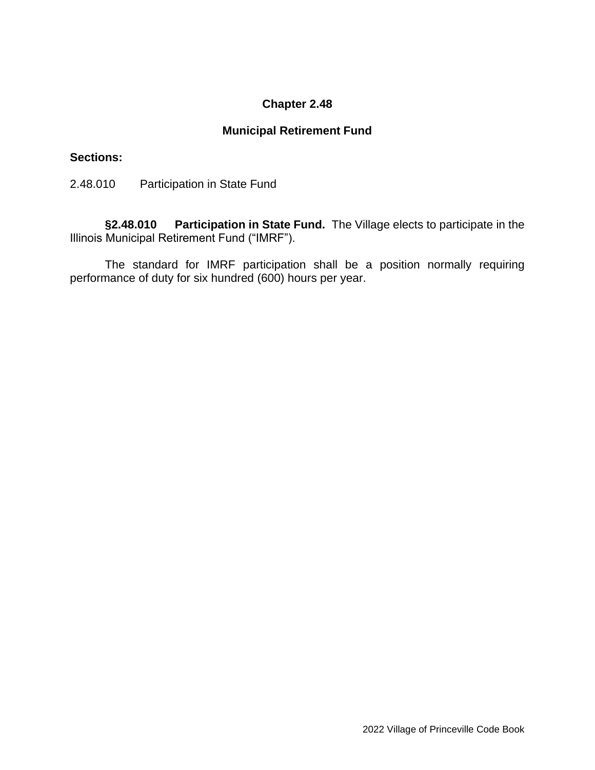# **Municipal Retirement Fund**

### **Sections:**

2.48.010 Participation in State Fund

**§2.48.010 Participation in State Fund.** The Village elects to participate in the Illinois Municipal Retirement Fund ("IMRF").

The standard for IMRF participation shall be a position normally requiring performance of duty for six hundred (600) hours per year.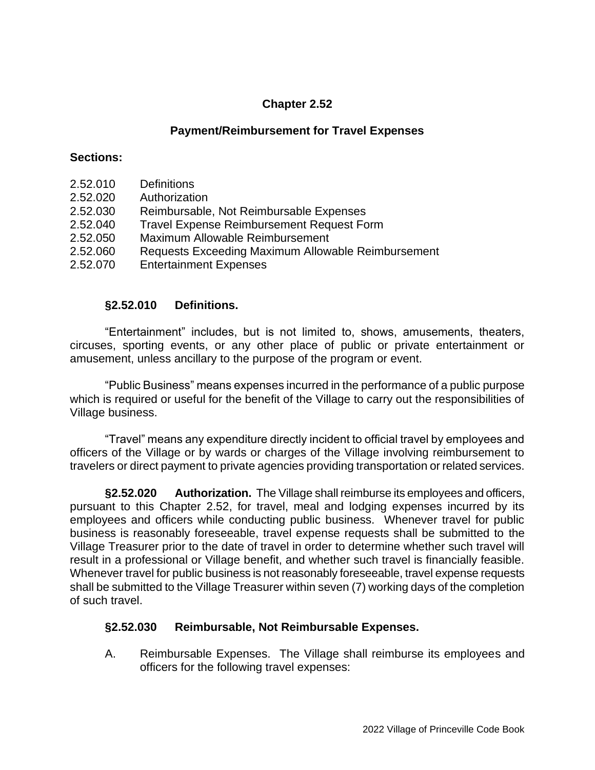## **Payment/Reimbursement for Travel Expenses**

#### **Sections:**

- 2.52.010 Definitions
- 2.52.020 Authorization
- 2.52.030 Reimbursable, Not Reimbursable Expenses
- 2.52.040 Travel Expense Reimbursement Request Form
- 2.52.050 Maximum Allowable Reimbursement
- 2.52.060 Requests Exceeding Maximum Allowable Reimbursement
- 2.52.070 Entertainment Expenses

### **§2.52.010 Definitions.**

"Entertainment" includes, but is not limited to, shows, amusements, theaters, circuses, sporting events, or any other place of public or private entertainment or amusement, unless ancillary to the purpose of the program or event.

"Public Business" means expenses incurred in the performance of a public purpose which is required or useful for the benefit of the Village to carry out the responsibilities of Village business.

"Travel" means any expenditure directly incident to official travel by employees and officers of the Village or by wards or charges of the Village involving reimbursement to travelers or direct payment to private agencies providing transportation or related services.

**§2.52.020 Authorization.** The Village shall reimburse its employees and officers, pursuant to this Chapter 2.52, for travel, meal and lodging expenses incurred by its employees and officers while conducting public business. Whenever travel for public business is reasonably foreseeable, travel expense requests shall be submitted to the Village Treasurer prior to the date of travel in order to determine whether such travel will result in a professional or Village benefit, and whether such travel is financially feasible. Whenever travel for public business is not reasonably foreseeable, travel expense requests shall be submitted to the Village Treasurer within seven (7) working days of the completion of such travel.

# **§2.52.030 Reimbursable, Not Reimbursable Expenses.**

A. Reimbursable Expenses. The Village shall reimburse its employees and officers for the following travel expenses: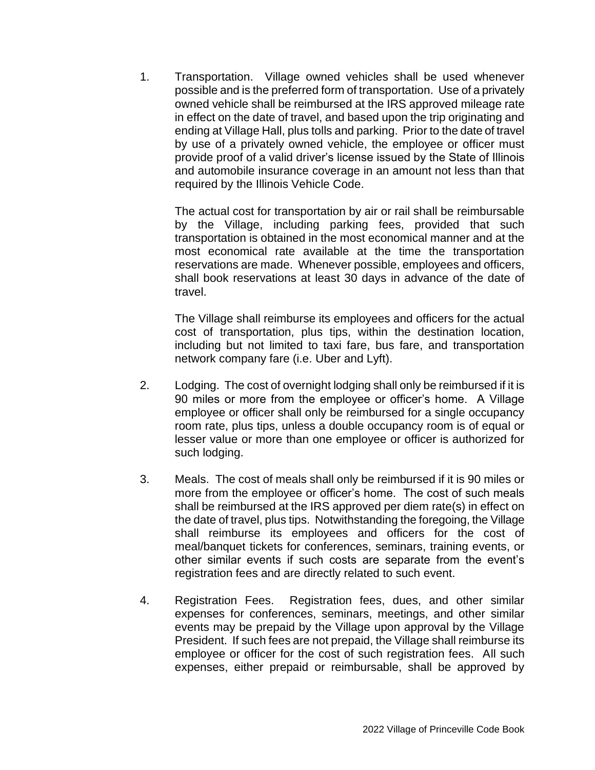1. Transportation. Village owned vehicles shall be used whenever possible and is the preferred form of transportation. Use of a privately owned vehicle shall be reimbursed at the IRS approved mileage rate in effect on the date of travel, and based upon the trip originating and ending at Village Hall, plus tolls and parking. Prior to the date of travel by use of a privately owned vehicle, the employee or officer must provide proof of a valid driver's license issued by the State of Illinois and automobile insurance coverage in an amount not less than that required by the Illinois Vehicle Code.

The actual cost for transportation by air or rail shall be reimbursable by the Village, including parking fees, provided that such transportation is obtained in the most economical manner and at the most economical rate available at the time the transportation reservations are made. Whenever possible, employees and officers, shall book reservations at least 30 days in advance of the date of travel.

The Village shall reimburse its employees and officers for the actual cost of transportation, plus tips, within the destination location, including but not limited to taxi fare, bus fare, and transportation network company fare (i.e. Uber and Lyft).

- 2. Lodging. The cost of overnight lodging shall only be reimbursed if it is 90 miles or more from the employee or officer's home. A Village employee or officer shall only be reimbursed for a single occupancy room rate, plus tips, unless a double occupancy room is of equal or lesser value or more than one employee or officer is authorized for such lodging.
- 3. Meals. The cost of meals shall only be reimbursed if it is 90 miles or more from the employee or officer's home. The cost of such meals shall be reimbursed at the IRS approved per diem rate(s) in effect on the date of travel, plus tips. Notwithstanding the foregoing, the Village shall reimburse its employees and officers for the cost of meal/banquet tickets for conferences, seminars, training events, or other similar events if such costs are separate from the event's registration fees and are directly related to such event.
- 4. Registration Fees. Registration fees, dues, and other similar expenses for conferences, seminars, meetings, and other similar events may be prepaid by the Village upon approval by the Village President. If such fees are not prepaid, the Village shall reimburse its employee or officer for the cost of such registration fees. All such expenses, either prepaid or reimbursable, shall be approved by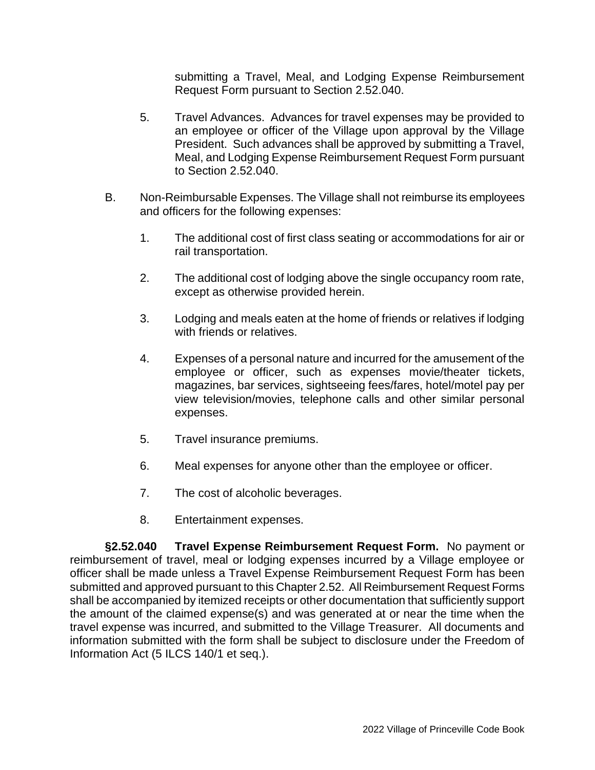submitting a Travel, Meal, and Lodging Expense Reimbursement Request Form pursuant to Section 2.52.040.

- 5. Travel Advances. Advances for travel expenses may be provided to an employee or officer of the Village upon approval by the Village President. Such advances shall be approved by submitting a Travel, Meal, and Lodging Expense Reimbursement Request Form pursuant to Section 2.52.040.
- B. Non-Reimbursable Expenses. The Village shall not reimburse its employees and officers for the following expenses:
	- 1. The additional cost of first class seating or accommodations for air or rail transportation.
	- 2. The additional cost of lodging above the single occupancy room rate, except as otherwise provided herein.
	- 3. Lodging and meals eaten at the home of friends or relatives if lodging with friends or relatives.
	- 4. Expenses of a personal nature and incurred for the amusement of the employee or officer, such as expenses movie/theater tickets, magazines, bar services, sightseeing fees/fares, hotel/motel pay per view television/movies, telephone calls and other similar personal expenses.
	- 5. Travel insurance premiums.
	- 6. Meal expenses for anyone other than the employee or officer.
	- 7. The cost of alcoholic beverages.
	- 8. Entertainment expenses.

**§2.52.040 Travel Expense Reimbursement Request Form.** No payment or reimbursement of travel, meal or lodging expenses incurred by a Village employee or officer shall be made unless a Travel Expense Reimbursement Request Form has been submitted and approved pursuant to this Chapter 2.52. All Reimbursement Request Forms shall be accompanied by itemized receipts or other documentation that sufficiently support the amount of the claimed expense(s) and was generated at or near the time when the travel expense was incurred, and submitted to the Village Treasurer. All documents and information submitted with the form shall be subject to disclosure under the Freedom of Information Act (5 ILCS 140/1 et seq.).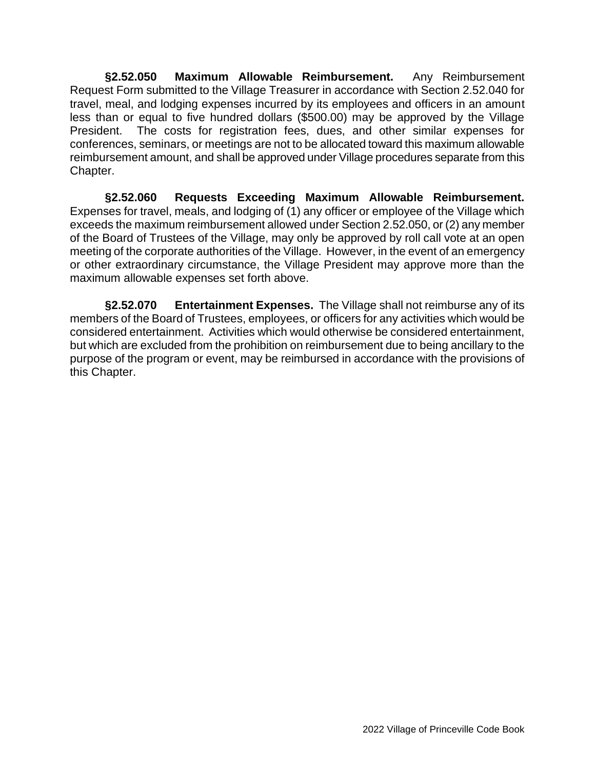**§2.52.050 Maximum Allowable Reimbursement.** Any Reimbursement Request Form submitted to the Village Treasurer in accordance with Section 2.52.040 for travel, meal, and lodging expenses incurred by its employees and officers in an amount less than or equal to five hundred dollars (\$500.00) may be approved by the Village President. The costs for registration fees, dues, and other similar expenses for conferences, seminars, or meetings are not to be allocated toward this maximum allowable reimbursement amount, and shall be approved under Village procedures separate from this Chapter.

**§2.52.060 Requests Exceeding Maximum Allowable Reimbursement.**  Expenses for travel, meals, and lodging of (1) any officer or employee of the Village which exceeds the maximum reimbursement allowed under Section 2.52.050, or (2) any member of the Board of Trustees of the Village, may only be approved by roll call vote at an open meeting of the corporate authorities of the Village. However, in the event of an emergency or other extraordinary circumstance, the Village President may approve more than the maximum allowable expenses set forth above.

**§2.52.070 Entertainment Expenses.** The Village shall not reimburse any of its members of the Board of Trustees, employees, or officers for any activities which would be considered entertainment. Activities which would otherwise be considered entertainment, but which are excluded from the prohibition on reimbursement due to being ancillary to the purpose of the program or event, may be reimbursed in accordance with the provisions of this Chapter.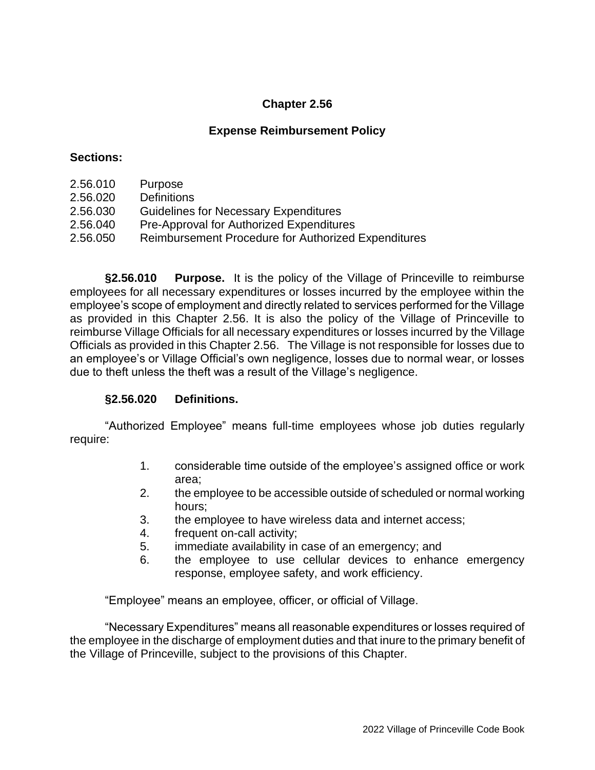# **Expense Reimbursement Policy**

#### **Sections:**

- 2.56.010 Purpose
- 2.56.020 Definitions
- 2.56.030 Guidelines for Necessary Expenditures
- 2.56.040 Pre-Approval for Authorized Expenditures
- 2.56.050 Reimbursement Procedure for Authorized Expenditures

**§2.56.010 Purpose.** It is the policy of the Village of Princeville to reimburse employees for all necessary expenditures or losses incurred by the employee within the employee's scope of employment and directly related to services performed for the Village as provided in this Chapter 2.56. It is also the policy of the Village of Princeville to reimburse Village Officials for all necessary expenditures or losses incurred by the Village Officials as provided in this Chapter 2.56. The Village is not responsible for losses due to an employee's or Village Official's own negligence, losses due to normal wear, or losses due to theft unless the theft was a result of the Village's negligence.

### **§2.56.020 Definitions.**

"Authorized Employee" means full-time employees whose job duties regularly require:

- 1. considerable time outside of the employee's assigned office or work area;
- 2. the employee to be accessible outside of scheduled or normal working hours;
- 3. the employee to have wireless data and internet access;
- 4. frequent on-call activity;
- 5. immediate availability in case of an emergency; and
- 6. the employee to use cellular devices to enhance emergency response, employee safety, and work efficiency.

"Employee" means an employee, officer, or official of Village.

"Necessary Expenditures" means all reasonable expenditures or losses required of the employee in the discharge of employment duties and that inure to the primary benefit of the Village of Princeville, subject to the provisions of this Chapter.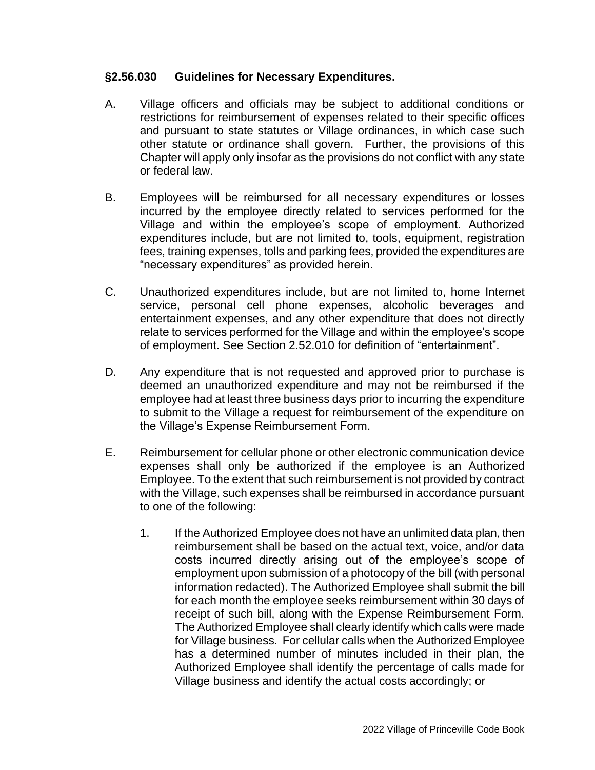#### **§2.56.030 Guidelines for Necessary Expenditures.**

- A. Village officers and officials may be subject to additional conditions or restrictions for reimbursement of expenses related to their specific offices and pursuant to state statutes or Village ordinances, in which case such other statute or ordinance shall govern. Further, the provisions of this Chapter will apply only insofar as the provisions do not conflict with any state or federal law.
- B. Employees will be reimbursed for all necessary expenditures or losses incurred by the employee directly related to services performed for the Village and within the employee's scope of employment. Authorized expenditures include, but are not limited to, tools, equipment, registration fees, training expenses, tolls and parking fees, provided the expenditures are "necessary expenditures" as provided herein.
- C. Unauthorized expenditures include, but are not limited to, home Internet service, personal cell phone expenses, alcoholic beverages and entertainment expenses, and any other expenditure that does not directly relate to services performed for the Village and within the employee's scope of employment. See Section 2.52.010 for definition of "entertainment".
- D. Any expenditure that is not requested and approved prior to purchase is deemed an unauthorized expenditure and may not be reimbursed if the employee had at least three business days prior to incurring the expenditure to submit to the Village a request for reimbursement of the expenditure on the Village's Expense Reimbursement Form.
- E. Reimbursement for cellular phone or other electronic communication device expenses shall only be authorized if the employee is an Authorized Employee. To the extent that such reimbursement is not provided by contract with the Village, such expenses shall be reimbursed in accordance pursuant to one of the following:
	- 1. If the Authorized Employee does not have an unlimited data plan, then reimbursement shall be based on the actual text, voice, and/or data costs incurred directly arising out of the employee's scope of employment upon submission of a photocopy of the bill (with personal information redacted). The Authorized Employee shall submit the bill for each month the employee seeks reimbursement within 30 days of receipt of such bill, along with the Expense Reimbursement Form. The Authorized Employee shall clearly identify which calls were made for Village business. For cellular calls when the Authorized Employee has a determined number of minutes included in their plan, the Authorized Employee shall identify the percentage of calls made for Village business and identify the actual costs accordingly; or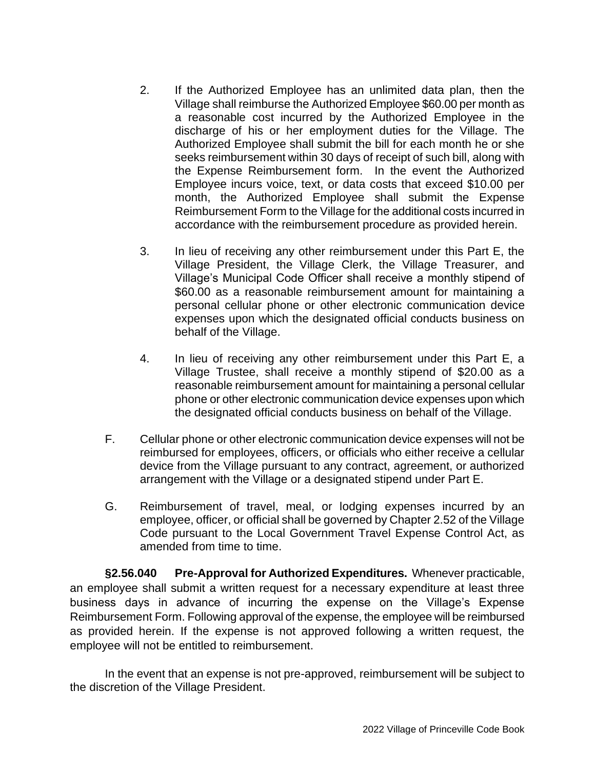- 2. If the Authorized Employee has an unlimited data plan, then the Village shall reimburse the Authorized Employee \$60.00 per month as a reasonable cost incurred by the Authorized Employee in the discharge of his or her employment duties for the Village. The Authorized Employee shall submit the bill for each month he or she seeks reimbursement within 30 days of receipt of such bill, along with the Expense Reimbursement form. In the event the Authorized Employee incurs voice, text, or data costs that exceed \$10.00 per month, the Authorized Employee shall submit the Expense Reimbursement Form to the Village for the additional costs incurred in accordance with the reimbursement procedure as provided herein.
- 3. In lieu of receiving any other reimbursement under this Part E, the Village President, the Village Clerk, the Village Treasurer, and Village's Municipal Code Officer shall receive a monthly stipend of \$60.00 as a reasonable reimbursement amount for maintaining a personal cellular phone or other electronic communication device expenses upon which the designated official conducts business on behalf of the Village.
- 4. In lieu of receiving any other reimbursement under this Part E, a Village Trustee, shall receive a monthly stipend of \$20.00 as a reasonable reimbursement amount for maintaining a personal cellular phone or other electronic communication device expenses upon which the designated official conducts business on behalf of the Village.
- F. Cellular phone or other electronic communication device expenses will not be reimbursed for employees, officers, or officials who either receive a cellular device from the Village pursuant to any contract, agreement, or authorized arrangement with the Village or a designated stipend under Part E.
- G. Reimbursement of travel, meal, or lodging expenses incurred by an employee, officer, or official shall be governed by Chapter 2.52 of the Village Code pursuant to the Local Government Travel Expense Control Act, as amended from time to time.

**§2.56.040 Pre-Approval for Authorized Expenditures.** Whenever practicable, an employee shall submit a written request for a necessary expenditure at least three business days in advance of incurring the expense on the Village's Expense Reimbursement Form. Following approval of the expense, the employee will be reimbursed as provided herein. If the expense is not approved following a written request, the employee will not be entitled to reimbursement.

In the event that an expense is not pre-approved, reimbursement will be subject to the discretion of the Village President.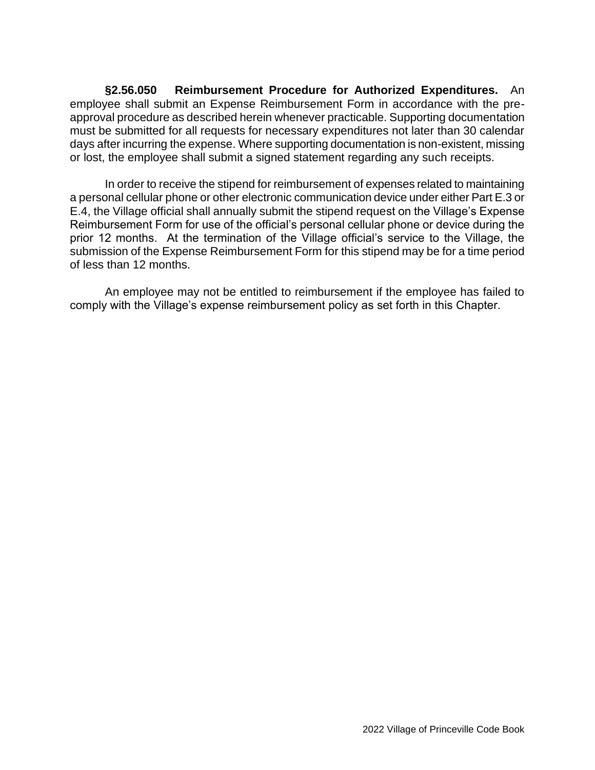**§2.56.050 Reimbursement Procedure for Authorized Expenditures.** An employee shall submit an Expense Reimbursement Form in accordance with the preapproval procedure as described herein whenever practicable. Supporting documentation must be submitted for all requests for necessary expenditures not later than 30 calendar days after incurring the expense. Where supporting documentation is non-existent, missing or lost, the employee shall submit a signed statement regarding any such receipts.

In order to receive the stipend for reimbursement of expenses related to maintaining a personal cellular phone or other electronic communication device under either Part E.3 or E.4, the Village official shall annually submit the stipend request on the Village's Expense Reimbursement Form for use of the official's personal cellular phone or device during the prior 12 months. At the termination of the Village official's service to the Village, the submission of the Expense Reimbursement Form for this stipend may be for a time period of less than 12 months.

An employee may not be entitled to reimbursement if the employee has failed to comply with the Village's expense reimbursement policy as set forth in this Chapter.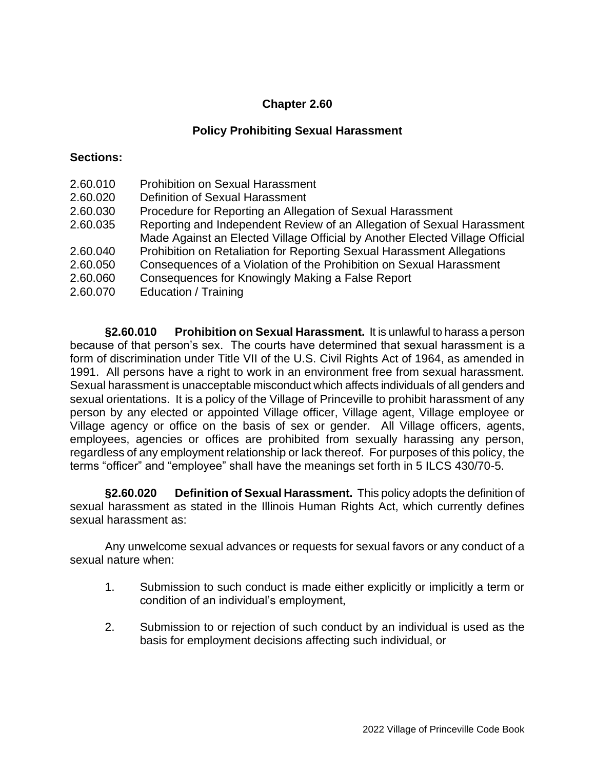## **Policy Prohibiting Sexual Harassment**

#### **Sections:**

2.60.010 Prohibition on Sexual Harassment 2.60.020 Definition of Sexual Harassment 2.60.030 Procedure for Reporting an Allegation of Sexual Harassment 2.60.035 Reporting and Independent Review of an Allegation of Sexual Harassment Made Against an Elected Village Official by Another Elected Village Official 2.60.040 Prohibition on Retaliation for Reporting Sexual Harassment Allegations 2.60.050 Consequences of a Violation of the Prohibition on Sexual Harassment 2.60.060 Consequences for Knowingly Making a False Report 2.60.070 Education / Training

**§2.60.010 Prohibition on Sexual Harassment.** It is unlawful to harass a person because of that person's sex. The courts have determined that sexual harassment is a form of discrimination under Title VII of the U.S. Civil Rights Act of 1964, as amended in 1991. All persons have a right to work in an environment free from sexual harassment. Sexual harassment is unacceptable misconduct which affects individuals of all genders and sexual orientations. It is a policy of the Village of Princeville to prohibit harassment of any person by any elected or appointed Village officer, Village agent, Village employee or Village agency or office on the basis of sex or gender. All Village officers, agents, employees, agencies or offices are prohibited from sexually harassing any person, regardless of any employment relationship or lack thereof. For purposes of this policy, the terms "officer" and "employee" shall have the meanings set forth in 5 ILCS 430/70-5.

**§2.60.020 Definition of Sexual Harassment.** This policy adopts the definition of sexual harassment as stated in the Illinois Human Rights Act, which currently defines sexual harassment as:

Any unwelcome sexual advances or requests for sexual favors or any conduct of a sexual nature when:

- 1. Submission to such conduct is made either explicitly or implicitly a term or condition of an individual's employment,
- 2. Submission to or rejection of such conduct by an individual is used as the basis for employment decisions affecting such individual, or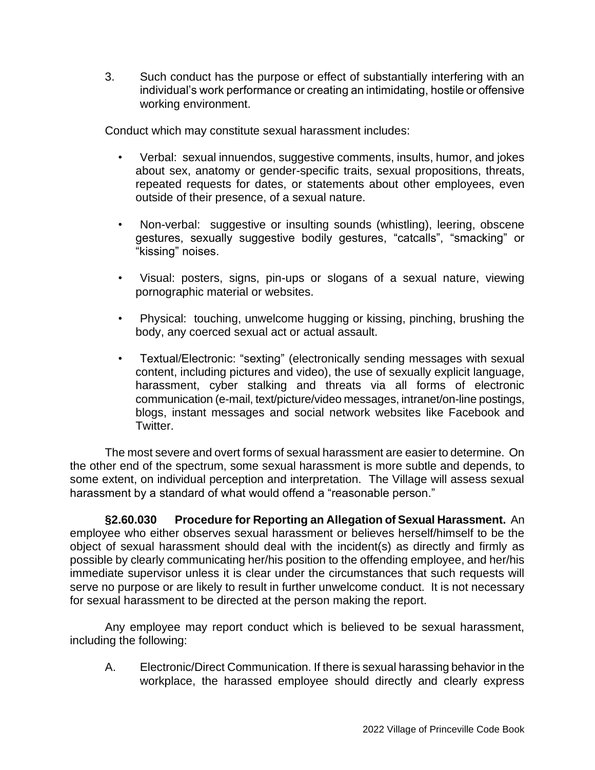3. Such conduct has the purpose or effect of substantially interfering with an individual's work performance or creating an intimidating, hostile or offensive working environment.

Conduct which may constitute sexual harassment includes:

- Verbal: sexual innuendos, suggestive comments, insults, humor, and jokes about sex, anatomy or gender-specific traits, sexual propositions, threats, repeated requests for dates, or statements about other employees, even outside of their presence, of a sexual nature.
- Non-verbal: suggestive or insulting sounds (whistling), leering, obscene gestures, sexually suggestive bodily gestures, "catcalls", "smacking" or "kissing" noises.
- Visual: posters, signs, pin-ups or slogans of a sexual nature, viewing pornographic material or websites.
- Physical: touching, unwelcome hugging or kissing, pinching, brushing the body, any coerced sexual act or actual assault.
- Textual/Electronic: "sexting" (electronically sending messages with sexual content, including pictures and video), the use of sexually explicit language, harassment, cyber stalking and threats via all forms of electronic communication (e-mail, text/picture/video messages, intranet/on-line postings, blogs, instant messages and social network websites like Facebook and Twitter.

The most severe and overt forms of sexual harassment are easier to determine. On the other end of the spectrum, some sexual harassment is more subtle and depends, to some extent, on individual perception and interpretation. The Village will assess sexual harassment by a standard of what would offend a "reasonable person."

**§2.60.030 Procedure for Reporting an Allegation of Sexual Harassment.** An employee who either observes sexual harassment or believes herself/himself to be the object of sexual harassment should deal with the incident(s) as directly and firmly as possible by clearly communicating her/his position to the offending employee, and her/his immediate supervisor unless it is clear under the circumstances that such requests will serve no purpose or are likely to result in further unwelcome conduct. It is not necessary for sexual harassment to be directed at the person making the report.

Any employee may report conduct which is believed to be sexual harassment, including the following:

A. Electronic/Direct Communication. If there is sexual harassing behavior in the workplace, the harassed employee should directly and clearly express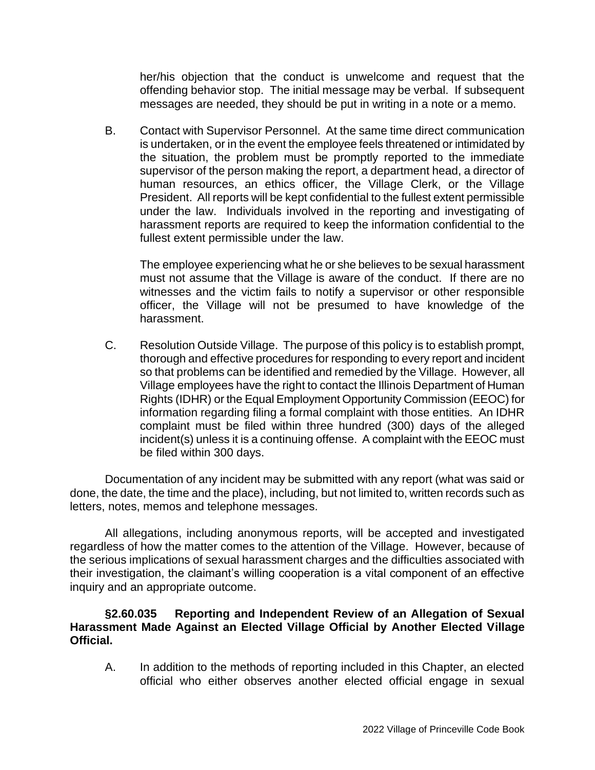her/his objection that the conduct is unwelcome and request that the offending behavior stop. The initial message may be verbal. If subsequent messages are needed, they should be put in writing in a note or a memo.

B. Contact with Supervisor Personnel. At the same time direct communication is undertaken, or in the event the employee feels threatened or intimidated by the situation, the problem must be promptly reported to the immediate supervisor of the person making the report, a department head, a director of human resources, an ethics officer, the Village Clerk, or the Village President. All reports will be kept confidential to the fullest extent permissible under the law. Individuals involved in the reporting and investigating of harassment reports are required to keep the information confidential to the fullest extent permissible under the law.

The employee experiencing what he or she believes to be sexual harassment must not assume that the Village is aware of the conduct. If there are no witnesses and the victim fails to notify a supervisor or other responsible officer, the Village will not be presumed to have knowledge of the harassment.

C. Resolution Outside Village. The purpose of this policy is to establish prompt, thorough and effective procedures for responding to every report and incident so that problems can be identified and remedied by the Village. However, all Village employees have the right to contact the Illinois Department of Human Rights (IDHR) or the Equal Employment Opportunity Commission (EEOC) for information regarding filing a formal complaint with those entities. An IDHR complaint must be filed within three hundred (300) days of the alleged incident(s) unless it is a continuing offense. A complaint with the EEOC must be filed within 300 days.

Documentation of any incident may be submitted with any report (what was said or done, the date, the time and the place), including, but not limited to, written records such as letters, notes, memos and telephone messages.

All allegations, including anonymous reports, will be accepted and investigated regardless of how the matter comes to the attention of the Village. However, because of the serious implications of sexual harassment charges and the difficulties associated with their investigation, the claimant's willing cooperation is a vital component of an effective inquiry and an appropriate outcome.

## **§2.60.035 Reporting and Independent Review of an Allegation of Sexual Harassment Made Against an Elected Village Official by Another Elected Village Official.**

A. In addition to the methods of reporting included in this Chapter, an elected official who either observes another elected official engage in sexual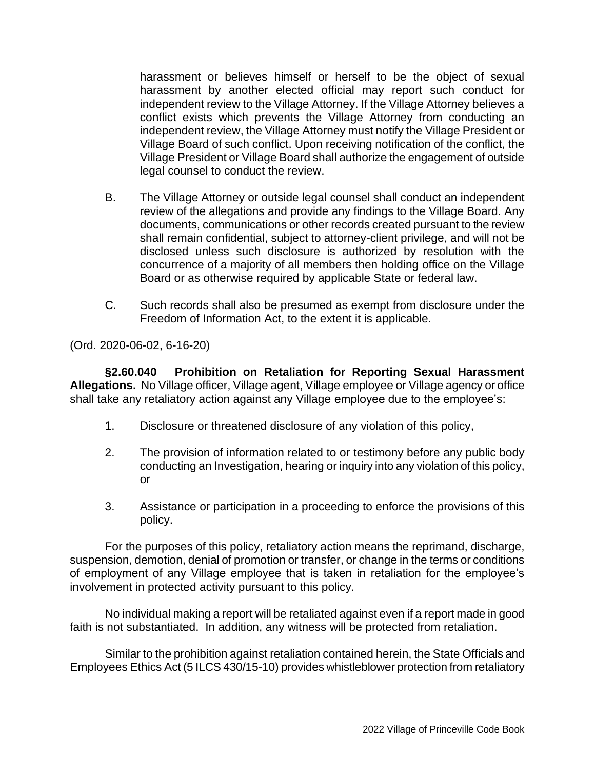harassment or believes himself or herself to be the object of sexual harassment by another elected official may report such conduct for independent review to the Village Attorney. If the Village Attorney believes a conflict exists which prevents the Village Attorney from conducting an independent review, the Village Attorney must notify the Village President or Village Board of such conflict. Upon receiving notification of the conflict, the Village President or Village Board shall authorize the engagement of outside legal counsel to conduct the review.

- B. The Village Attorney or outside legal counsel shall conduct an independent review of the allegations and provide any findings to the Village Board. Any documents, communications or other records created pursuant to the review shall remain confidential, subject to attorney-client privilege, and will not be disclosed unless such disclosure is authorized by resolution with the concurrence of a majority of all members then holding office on the Village Board or as otherwise required by applicable State or federal law.
- C. Such records shall also be presumed as exempt from disclosure under the Freedom of Information Act, to the extent it is applicable.

(Ord. 2020-06-02, 6-16-20)

**§2.60.040 Prohibition on Retaliation for Reporting Sexual Harassment Allegations.** No Village officer, Village agent, Village employee or Village agency or office shall take any retaliatory action against any Village employee due to the employee's:

- 1. Disclosure or threatened disclosure of any violation of this policy,
- 2. The provision of information related to or testimony before any public body conducting an Investigation, hearing or inquiry into any violation of this policy, or
- 3. Assistance or participation in a proceeding to enforce the provisions of this policy.

For the purposes of this policy, retaliatory action means the reprimand, discharge, suspension, demotion, denial of promotion or transfer, or change in the terms or conditions of employment of any Village employee that is taken in retaliation for the employee's involvement in protected activity pursuant to this policy.

No individual making a report will be retaliated against even if a report made in good faith is not substantiated. In addition, any witness will be protected from retaliation.

Similar to the prohibition against retaliation contained herein, the State Officials and Employees Ethics Act (5 ILCS 430/15-10) provides whistleblower protection from retaliatory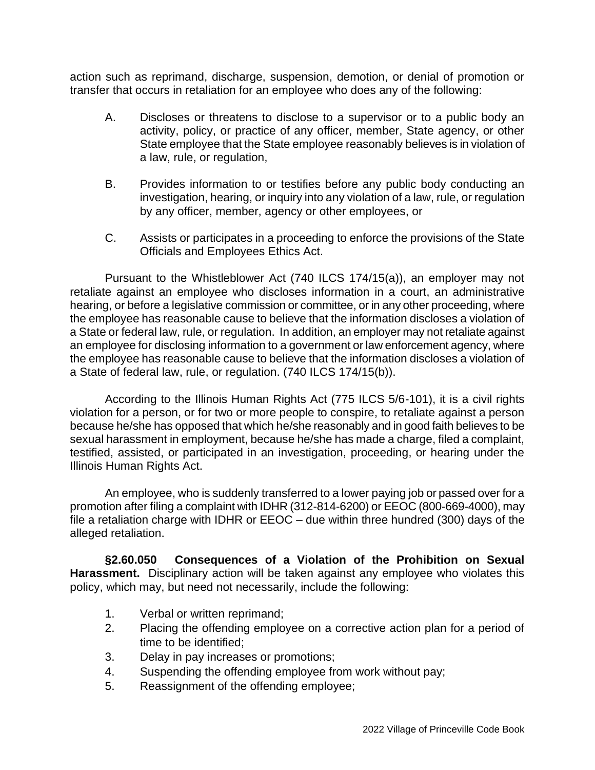action such as reprimand, discharge, suspension, demotion, or denial of promotion or transfer that occurs in retaliation for an employee who does any of the following:

- A. Discloses or threatens to disclose to a supervisor or to a public body an activity, policy, or practice of any officer, member, State agency, or other State employee that the State employee reasonably believes is in violation of a law, rule, or regulation,
- B. Provides information to or testifies before any public body conducting an investigation, hearing, or inquiry into any violation of a law, rule, or regulation by any officer, member, agency or other employees, or
- C. Assists or participates in a proceeding to enforce the provisions of the State Officials and Employees Ethics Act.

Pursuant to the Whistleblower Act (740 ILCS 174/15(a)), an employer may not retaliate against an employee who discloses information in a court, an administrative hearing, or before a legislative commission or committee, or in any other proceeding, where the employee has reasonable cause to believe that the information discloses a violation of a State or federal law, rule, or regulation. In addition, an employer may not retaliate against an employee for disclosing information to a government or law enforcement agency, where the employee has reasonable cause to believe that the information discloses a violation of a State of federal law, rule, or regulation. (740 ILCS 174/15(b)).

According to the Illinois Human Rights Act (775 ILCS 5/6-101), it is a civil rights violation for a person, or for two or more people to conspire, to retaliate against a person because he/she has opposed that which he/she reasonably and in good faith believes to be sexual harassment in employment, because he/she has made a charge, filed a complaint, testified, assisted, or participated in an investigation, proceeding, or hearing under the Illinois Human Rights Act.

An employee, who is suddenly transferred to a lower paying job or passed over for a promotion after filing a complaint with IDHR (312-814-6200) or EEOC (800-669-4000), may file a retaliation charge with IDHR or EEOC – due within three hundred (300) days of the alleged retaliation.

**§2.60.050 Consequences of a Violation of the Prohibition on Sexual Harassment.** Disciplinary action will be taken against any employee who violates this policy, which may, but need not necessarily, include the following:

- 1. Verbal or written reprimand;
- 2. Placing the offending employee on a corrective action plan for a period of time to be identified;
- 3. Delay in pay increases or promotions;
- 4. Suspending the offending employee from work without pay;
- 5. Reassignment of the offending employee;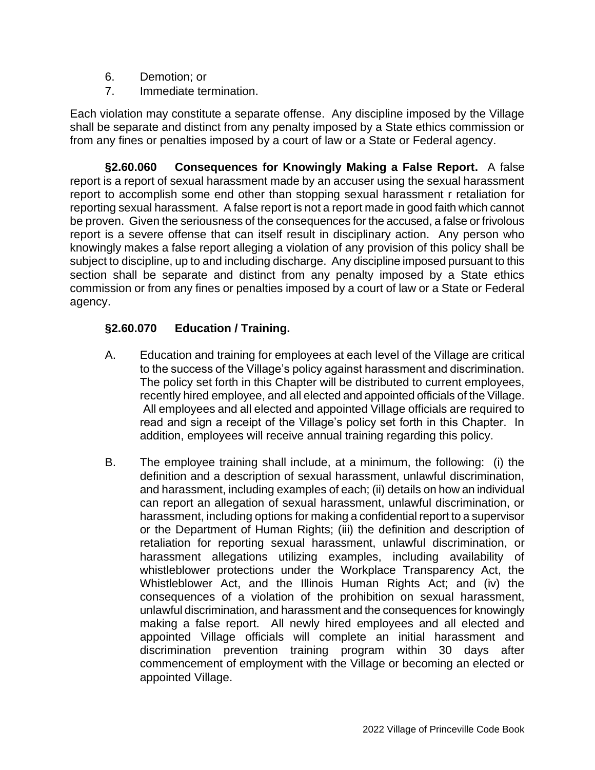- 6. Demotion; or
- 7. Immediate termination.

Each violation may constitute a separate offense. Any discipline imposed by the Village shall be separate and distinct from any penalty imposed by a State ethics commission or from any fines or penalties imposed by a court of law or a State or Federal agency.

**§2.60.060 Consequences for Knowingly Making a False Report.** A false report is a report of sexual harassment made by an accuser using the sexual harassment report to accomplish some end other than stopping sexual harassment r retaliation for reporting sexual harassment. A false report is not a report made in good faith which cannot be proven. Given the seriousness of the consequences for the accused, a false or frivolous report is a severe offense that can itself result in disciplinary action. Any person who knowingly makes a false report alleging a violation of any provision of this policy shall be subject to discipline, up to and including discharge. Any discipline imposed pursuant to this section shall be separate and distinct from any penalty imposed by a State ethics commission or from any fines or penalties imposed by a court of law or a State or Federal agency.

# **§2.60.070 Education / Training.**

- A. Education and training for employees at each level of the Village are critical to the success of the Village's policy against harassment and discrimination. The policy set forth in this Chapter will be distributed to current employees, recently hired employee, and all elected and appointed officials of the Village. All employees and all elected and appointed Village officials are required to read and sign a receipt of the Village's policy set forth in this Chapter. In addition, employees will receive annual training regarding this policy.
- B. The employee training shall include, at a minimum, the following: (i) the definition and a description of sexual harassment, unlawful discrimination, and harassment, including examples of each; (ii) details on how an individual can report an allegation of sexual harassment, unlawful discrimination, or harassment, including options for making a confidential report to a supervisor or the Department of Human Rights; (iii) the definition and description of retaliation for reporting sexual harassment, unlawful discrimination, or harassment allegations utilizing examples, including availability of whistleblower protections under the Workplace Transparency Act, the Whistleblower Act, and the Illinois Human Rights Act; and (iv) the consequences of a violation of the prohibition on sexual harassment, unlawful discrimination, and harassment and the consequences for knowingly making a false report. All newly hired employees and all elected and appointed Village officials will complete an initial harassment and discrimination prevention training program within 30 days after commencement of employment with the Village or becoming an elected or appointed Village.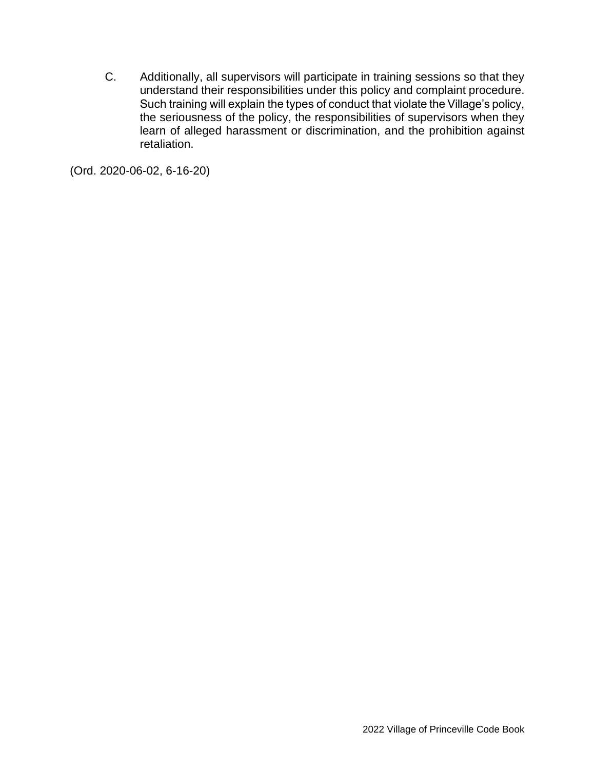C. Additionally, all supervisors will participate in training sessions so that they understand their responsibilities under this policy and complaint procedure. Such training will explain the types of conduct that violate the Village's policy, the seriousness of the policy, the responsibilities of supervisors when they learn of alleged harassment or discrimination, and the prohibition against retaliation.

(Ord. 2020-06-02, 6-16-20)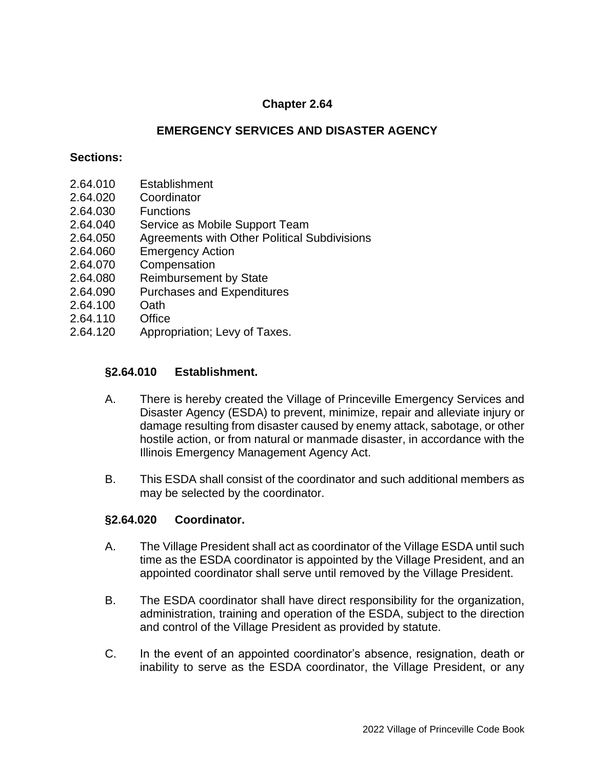### **EMERGENCY SERVICES AND DISASTER AGENCY**

#### **Sections:**

- 2.64.010 Establishment
- 2.64.020 Coordinator
- 2.64.030 Functions
- 2.64.040 Service as Mobile Support Team
- 2.64.050 Agreements with Other Political Subdivisions
- 2.64.060 Emergency Action
- 2.64.070 Compensation
- 2.64.080 Reimbursement by State
- 2.64.090 Purchases and Expenditures
- 2.64.100 Oath
- 2.64.110 Office
- 2.64.120 Appropriation; Levy of Taxes.

#### **§2.64.010 Establishment.**

- A. There is hereby created the Village of Princeville Emergency Services and Disaster Agency (ESDA) to prevent, minimize, repair and alleviate injury or damage resulting from disaster caused by enemy attack, sabotage, or other hostile action, or from natural or manmade disaster, in accordance with the Illinois Emergency Management Agency Act.
- B. This ESDA shall consist of the coordinator and such additional members as may be selected by the coordinator.

#### **§2.64.020 Coordinator.**

- A. The Village President shall act as coordinator of the Village ESDA until such time as the ESDA coordinator is appointed by the Village President, and an appointed coordinator shall serve until removed by the Village President.
- B. The ESDA coordinator shall have direct responsibility for the organization, administration, training and operation of the ESDA, subject to the direction and control of the Village President as provided by statute.
- C. In the event of an appointed coordinator's absence, resignation, death or inability to serve as the ESDA coordinator, the Village President, or any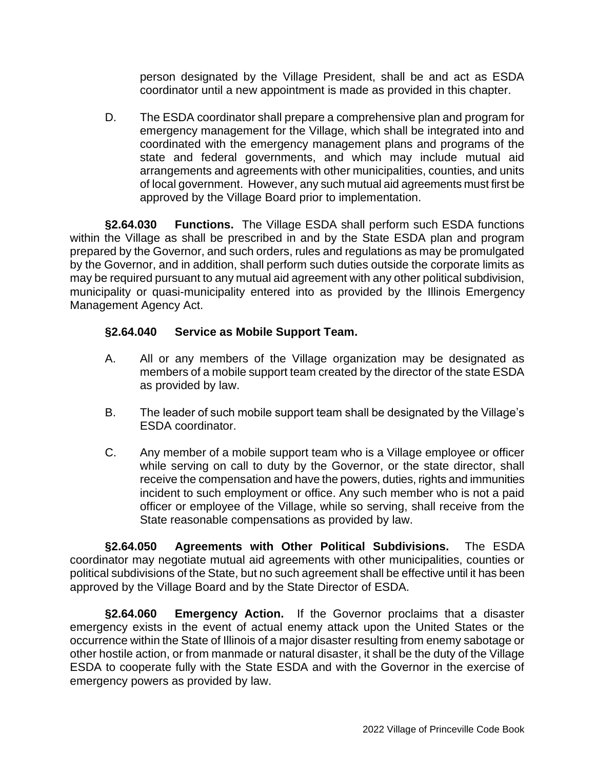person designated by the Village President, shall be and act as ESDA coordinator until a new appointment is made as provided in this chapter.

D. The ESDA coordinator shall prepare a comprehensive plan and program for emergency management for the Village, which shall be integrated into and coordinated with the emergency management plans and programs of the state and federal governments, and which may include mutual aid arrangements and agreements with other municipalities, counties, and units of local government. However, any such mutual aid agreements must first be approved by the Village Board prior to implementation.

**§2.64.030 Functions.** The Village ESDA shall perform such ESDA functions within the Village as shall be prescribed in and by the State ESDA plan and program prepared by the Governor, and such orders, rules and regulations as may be promulgated by the Governor, and in addition, shall perform such duties outside the corporate limits as may be required pursuant to any mutual aid agreement with any other political subdivision, municipality or quasi-municipality entered into as provided by the Illinois Emergency Management Agency Act.

# **§2.64.040 Service as Mobile Support Team.**

- A. All or any members of the Village organization may be designated as members of a mobile support team created by the director of the state ESDA as provided by law.
- B. The leader of such mobile support team shall be designated by the Village's ESDA coordinator.
- C. Any member of a mobile support team who is a Village employee or officer while serving on call to duty by the Governor, or the state director, shall receive the compensation and have the powers, duties, rights and immunities incident to such employment or office. Any such member who is not a paid officer or employee of the Village, while so serving, shall receive from the State reasonable compensations as provided by law.

**§2.64.050 Agreements with Other Political Subdivisions.** The ESDA coordinator may negotiate mutual aid agreements with other municipalities, counties or political subdivisions of the State, but no such agreement shall be effective until it has been approved by the Village Board and by the State Director of ESDA.

**§2.64.060 Emergency Action.** If the Governor proclaims that a disaster emergency exists in the event of actual enemy attack upon the United States or the occurrence within the State of Illinois of a major disaster resulting from enemy sabotage or other hostile action, or from manmade or natural disaster, it shall be the duty of the Village ESDA to cooperate fully with the State ESDA and with the Governor in the exercise of emergency powers as provided by law.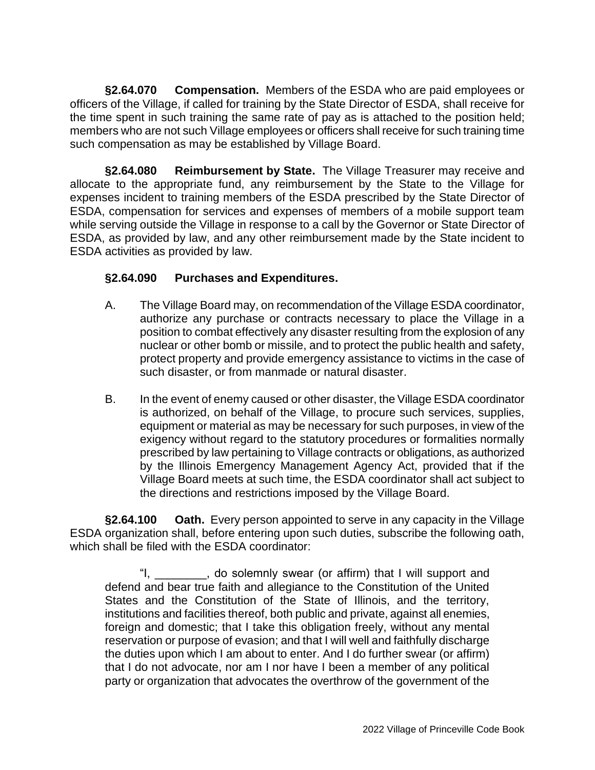**§2.64.070 Compensation.** Members of the ESDA who are paid employees or officers of the Village, if called for training by the State Director of ESDA, shall receive for the time spent in such training the same rate of pay as is attached to the position held; members who are not such Village employees or officers shall receive for such training time such compensation as may be established by Village Board.

**§2.64.080 Reimbursement by State.** The Village Treasurer may receive and allocate to the appropriate fund, any reimbursement by the State to the Village for expenses incident to training members of the ESDA prescribed by the State Director of ESDA, compensation for services and expenses of members of a mobile support team while serving outside the Village in response to a call by the Governor or State Director of ESDA, as provided by law, and any other reimbursement made by the State incident to ESDA activities as provided by law.

# **§2.64.090 Purchases and Expenditures.**

- A. The Village Board may, on recommendation of the Village ESDA coordinator, authorize any purchase or contracts necessary to place the Village in a position to combat effectively any disaster resulting from the explosion of any nuclear or other bomb or missile, and to protect the public health and safety, protect property and provide emergency assistance to victims in the case of such disaster, or from manmade or natural disaster.
- B. In the event of enemy caused or other disaster, the Village ESDA coordinator is authorized, on behalf of the Village, to procure such services, supplies, equipment or material as may be necessary for such purposes, in view of the exigency without regard to the statutory procedures or formalities normally prescribed by law pertaining to Village contracts or obligations, as authorized by the Illinois Emergency Management Agency Act, provided that if the Village Board meets at such time, the ESDA coordinator shall act subject to the directions and restrictions imposed by the Village Board.

**§2.64.100 Oath.** Every person appointed to serve in any capacity in the Village ESDA organization shall, before entering upon such duties, subscribe the following oath, which shall be filed with the ESDA coordinator:

, do solemnly swear (or affirm) that I will support and defend and bear true faith and allegiance to the Constitution of the United States and the Constitution of the State of Illinois, and the territory, institutions and facilities thereof, both public and private, against all enemies, foreign and domestic; that I take this obligation freely, without any mental reservation or purpose of evasion; and that I will well and faithfully discharge the duties upon which I am about to enter. And I do further swear (or affirm) that I do not advocate, nor am I nor have I been a member of any political party or organization that advocates the overthrow of the government of the